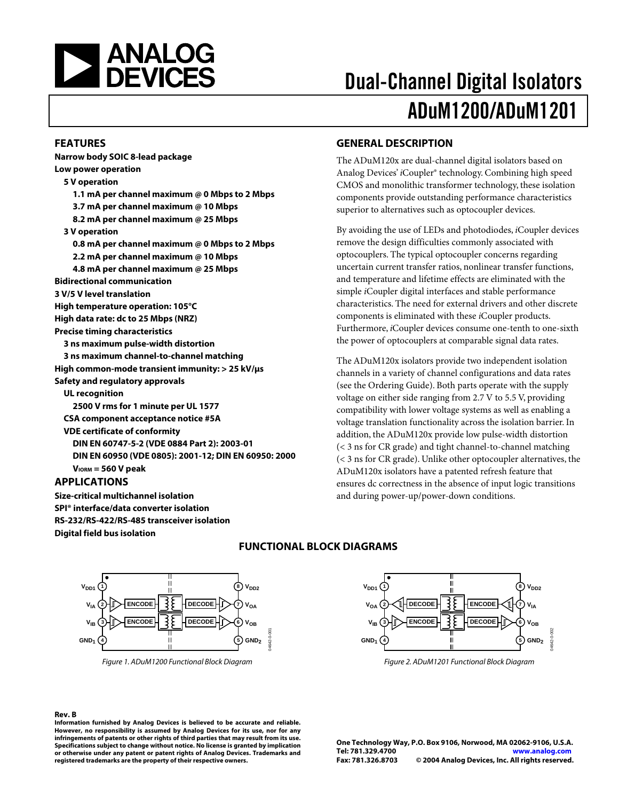

#### **FEATURES**

**Narrow body SOIC 8-lead package Low power operation 5 V operation 1.1 mA per channel maximum @ 0 Mbps to 2 Mbps 3.7 mA per channel maximum @ 10 Mbps 8.2 mA per channel maximum @ 25 Mbps 3 V operation 0.8 mA per channel maximum @ 0 Mbps to 2 Mbps 2.2 mA per channel maximum @ 10 Mbps 4.8 mA per channel maximum @ 25 Mbps Bidirectional communication 3 V/5 V level translation High temperature operation: 105°C High data rate: dc to 25 Mbps (NRZ) Precise timing characteristics 3 ns maximum pulse-width distortion 3 ns maximum channel-to-channel matching High common-mode transient immunity: > 25 kV/µs Safety and regulatory approvals UL recognition 2500 V rms for 1 minute per UL 1577 CSA component acceptance notice #5A VDE certificate of conformity DIN EN 60747-5-2 (VDE 0884 Part 2): 2003-01 DIN EN 60950 (VDE 0805): 2001-12; DIN EN 60950: 2000 VIORM = 560 V peak APPLICATIONS** 

**Size-critical multichannel isolation SPI® interface/data converter isolation RS-232/RS-422/RS-485 transceiver isolation Digital field bus isolation** 

# Dual-Channel Digital Isolators ADuM1200/ADuM1201

#### **GENERAL DESCRIPTION**

The ADuM120x are dual-channel digital isolators based on Analog Devices' *i*Coupler® technology. Combining high speed CMOS and monolithic transformer technology, these isolation components provide outstanding performance characteristics superior to alternatives such as optocoupler devices.

By avoiding the use of LEDs and photodiodes, *i*Coupler devices remove the design difficulties commonly associated with optocouplers. The typical optocoupler concerns regarding uncertain current transfer ratios, nonlinear transfer functions, and temperature and lifetime effects are eliminated with the simple *i*Coupler digital interfaces and stable performance characteristics. The need for external drivers and other discrete components is eliminated with these *i*Coupler products. Furthermore, *i*Coupler devices consume one-tenth to one-sixth the power of optocouplers at comparable signal data rates.

The ADuM120x isolators provide two independent isolation channels in a variety of channel configurations and data rates (see the [Ordering Guide\)](#page-16-0). Both parts operate with the supply voltage on either side ranging from 2.7 V to 5.5 V, providing compatibility with lower voltage systems as well as enabling a voltage translation functionality across the isolation barrier. In addition, the ADuM120x provide low pulse-width distortion (< 3 ns for CR grade) and tight channel-to-channel matching (< 3 ns for CR grade). Unlike other optocoupler alternatives, the ADuM120x isolators have a patented refresh feature that ensures dc correctness in the absence of input logic transitions and during power-up/power-down conditions.



Figure 1. ADuM1200 Functional Block Diagram

#### **FUNCTIONAL BLOCK DIAGRAMS**



Figure 2. ADuM1201 Functional Block Diagram

**Rev. B Information furnished by Analog Devices is believed to be accurate and reliable. However, no responsibility is assumed by Analog Devices for its use, nor for any infringements of patents or other rights of third parties that may result from its use. Specifications subject to change without notice. No license is granted by implication or otherwise under any patent or patent rights of Analog Devices. Trademarks and registered trademarks are the property of their respective owners.**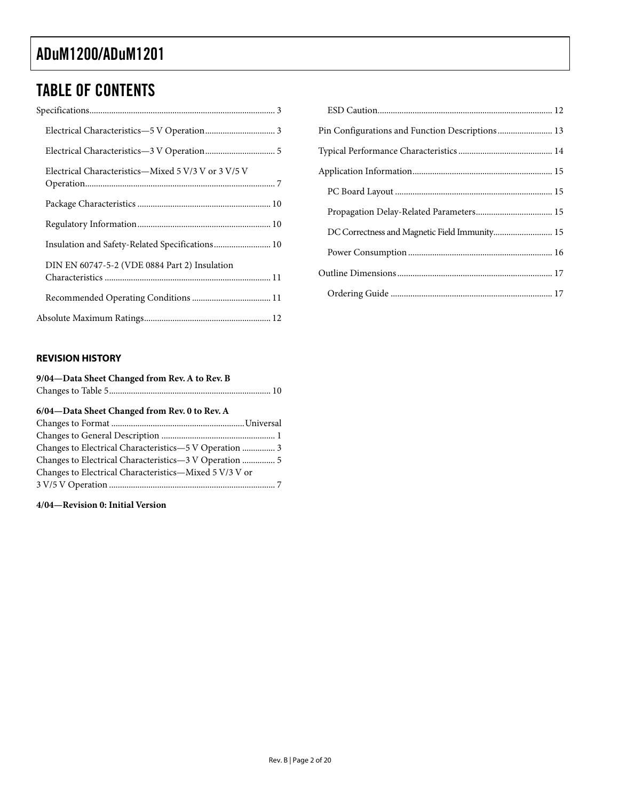### TABLE OF CONTENTS

| Electrical Characteristics—Mixed 5 V/3 V or 3 V/5 V |
|-----------------------------------------------------|
|                                                     |
|                                                     |
| Insulation and Safety-Related Specifications 10     |
| DIN EN 60747-5-2 (VDE 0884 Part 2) Insulation       |
|                                                     |
|                                                     |

| Pin Configurations and Function Descriptions 13 |
|-------------------------------------------------|
|                                                 |
|                                                 |
|                                                 |
|                                                 |
| DC Correctness and Magnetic Field Immunity 15   |
|                                                 |
|                                                 |
|                                                 |

#### **REVISION HISTORY**

| 9/04-Data Sheet Changed from Rev. A to Rev. B          |  |
|--------------------------------------------------------|--|
| 6/04-Data Sheet Changed from Rev. 0 to Rev. A          |  |
|                                                        |  |
|                                                        |  |
| Changes to Electrical Characteristics-5 V Operation  3 |  |
|                                                        |  |
| Changes to Electrical Characteristics—Mixed 5 V/3 V or |  |
|                                                        |  |

**4/04—Revision 0: Initial Version**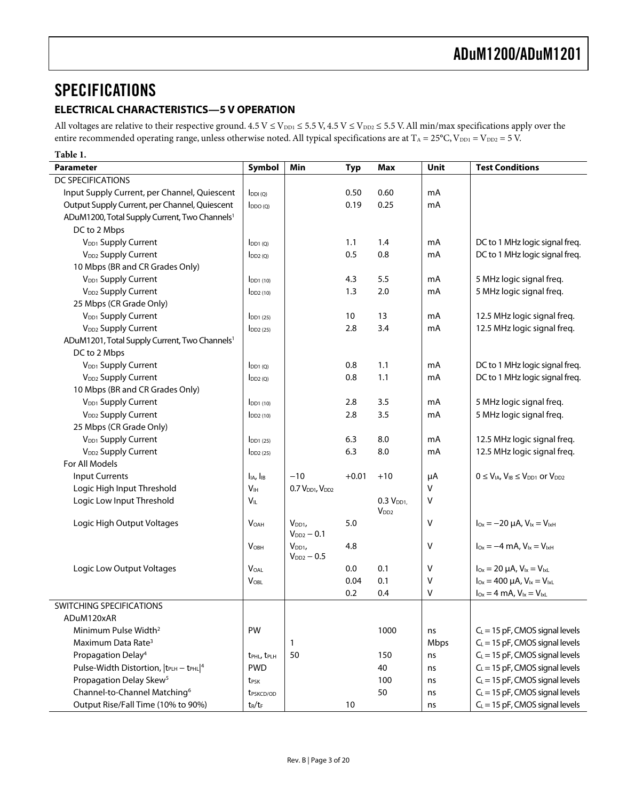### <span id="page-2-0"></span>SPECIFICATIONS

#### **ELECTRICAL CHARACTERISTICS—5 V OPERATION**

All voltages are relative to their respective ground.  $4.5$  V  $\leq$  V<sub>DD1</sub>  $\leq$  5.5 V,  $4.5$  V  $\leq$  V<sub>DD2</sub>  $\leq$  5.5 V. All min/max specifications apply over the entire recommended operating range, unless otherwise noted. All typical specifications are at T<sub>A</sub> = 25°C, V<sub>DD1</sub> = V<sub>DD2</sub> = 5 V.

| Table 1.                                                      |                                       |                                         |            |                      |              |                                                      |
|---------------------------------------------------------------|---------------------------------------|-----------------------------------------|------------|----------------------|--------------|------------------------------------------------------|
| <b>Parameter</b>                                              | Symbol                                | Min                                     | <b>Typ</b> | <b>Max</b>           | Unit         | <b>Test Conditions</b>                               |
| <b>DC SPECIFICATIONS</b>                                      |                                       |                                         |            |                      |              |                                                      |
| Input Supply Current, per Channel, Quiescent                  | $I_{DDI(Q)}$                          |                                         | 0.50       | 0.60                 | mA           |                                                      |
| Output Supply Current, per Channel, Quiescent                 | DDO(Q)                                |                                         | 0.19       | 0.25                 | mA           |                                                      |
| ADuM1200, Total Supply Current, Two Channels <sup>1</sup>     |                                       |                                         |            |                      |              |                                                      |
| DC to 2 Mbps                                                  |                                       |                                         |            |                      |              |                                                      |
| V <sub>DD1</sub> Supply Current                               | $I_{DD1(Q)}$                          |                                         | 1.1        | 1.4                  | mA           | DC to 1 MHz logic signal freq.                       |
| V <sub>DD2</sub> Supply Current                               | $I_{DD2(Q)}$                          |                                         | 0.5        | 0.8                  | mA           | DC to 1 MHz logic signal freq.                       |
| 10 Mbps (BR and CR Grades Only)                               |                                       |                                         |            |                      |              |                                                      |
| V <sub>DD1</sub> Supply Current                               | $I_{DD1(10)}$                         |                                         | 4.3        | 5.5                  | mA           | 5 MHz logic signal freq.                             |
| V <sub>DD2</sub> Supply Current                               | $I_{DD2(10)}$                         |                                         | 1.3        | 2.0                  | mA           | 5 MHz logic signal freq.                             |
| 25 Mbps (CR Grade Only)                                       |                                       |                                         |            |                      |              |                                                      |
| V <sub>DD1</sub> Supply Current                               | $I_{DD1(25)}$                         |                                         | 10         | 13                   | mA           | 12.5 MHz logic signal freq.                          |
| V <sub>DD2</sub> Supply Current                               | $\overline{1}$ DD <sub>2</sub> (25)   |                                         | 2.8        | 3.4                  | mA           | 12.5 MHz logic signal freq.                          |
| ADuM1201, Total Supply Current, Two Channels <sup>1</sup>     |                                       |                                         |            |                      |              |                                                      |
| DC to 2 Mbps                                                  |                                       |                                         |            |                      |              |                                                      |
| V <sub>DD1</sub> Supply Current                               | $I_{DD1(Q)}$                          |                                         | 0.8        | 1.1                  | mA           | DC to 1 MHz logic signal freq.                       |
| V <sub>DD2</sub> Supply Current                               | IDD2(Q)                               |                                         | 0.8        | 1.1                  | mA           | DC to 1 MHz logic signal freq.                       |
| 10 Mbps (BR and CR Grades Only)                               |                                       |                                         |            |                      |              |                                                      |
| V <sub>DD1</sub> Supply Current                               | $I$ <sub>DD1</sub> $(10)$             |                                         | 2.8        | 3.5                  | mA           | 5 MHz logic signal freq.                             |
| V <sub>DD2</sub> Supply Current                               | $\overline{D}D2(10)$                  |                                         | 2.8        | 3.5                  | mA           | 5 MHz logic signal freq.                             |
| 25 Mbps (CR Grade Only)                                       |                                       |                                         |            |                      |              |                                                      |
| V <sub>DD1</sub> Supply Current                               | $I$ <sub>DD1</sub> $(25)$             |                                         | 6.3        | 8.0                  | mA           | 12.5 MHz logic signal freq.                          |
| V <sub>DD2</sub> Supply Current                               | $\overline{1}$ DD <sub>2</sub> $(25)$ |                                         | 6.3        | 8.0                  | mA           | 12.5 MHz logic signal freq.                          |
| For All Models                                                |                                       |                                         |            |                      |              |                                                      |
| <b>Input Currents</b>                                         | I <sub>IA</sub> , I <sub>IB</sub>     | $-10$                                   | $+0.01$    | $+10$                | μA           | $0 \leq V_{IA}$ , $V_{IB} \leq V_{DD1}$ or $V_{DD2}$ |
| Logic High Input Threshold                                    | V <sub>IH</sub>                       | 0.7 V <sub>DD1</sub> , V <sub>DD2</sub> |            |                      | $\mathsf{V}$ |                                                      |
| Logic Low Input Threshold                                     | $V_{\scriptscriptstyle\parallel\! L}$ |                                         |            | 0.3 V <sub>DD1</sub> | $\vee$       |                                                      |
|                                                               |                                       |                                         |            | V <sub>DD2</sub>     |              |                                                      |
| Logic High Output Voltages                                    | <b>VOAH</b>                           | $V_{DD1}$                               | 5.0        |                      | $\mathsf{V}$ | $I_{Ox} = -20 \mu A$ , $V_{1x} = V_{1xH}$            |
|                                                               |                                       | $V_{DD2} - 0.1$                         |            |                      |              |                                                      |
|                                                               | <b>VOBH</b>                           | $V_{DD1}$<br>$V_{DD2} - 0.5$            | 4.8        |                      | $\mathsf{V}$ | $I_{\text{Ox}} = -4 \text{ mA}$ , $V_{1x} = V_{1xH}$ |
| Logic Low Output Voltages                                     | <b>VOAL</b>                           |                                         | 0.0        | 0.1                  | $\mathsf{V}$ | $I_{Ox} = 20 \mu A$ , $V_{Ix} = V_{IxL}$             |
|                                                               | $V_{OBL}$                             |                                         | 0.04       | 0.1                  | $\mathsf{V}$ | $I_{0x} = 400 \mu A$ , $V_{1x} = V_{1xL}$            |
|                                                               |                                       |                                         | 0.2        | 0.4                  | $\vee$       | $I_{Ox} = 4$ mA, $V_{1x} = V_{1xL}$                  |
| SWITCHING SPECIFICATIONS                                      |                                       |                                         |            |                      |              |                                                      |
| ADuM120xAR                                                    |                                       |                                         |            |                      |              |                                                      |
| Minimum Pulse Width <sup>2</sup>                              | PW                                    |                                         |            |                      |              | $C_L$ = 15 pF, CMOS signal levels                    |
|                                                               |                                       |                                         |            | 1000                 | ns           | $C_L$ = 15 pF, CMOS signal levels                    |
| Maximum Data Rate <sup>3</sup>                                |                                       | 1                                       |            |                      | Mbps         | $C_L = 15$ pF, CMOS signal levels                    |
| Propagation Delay <sup>4</sup>                                | t <sub>PHL</sub> , t <sub>PLH</sub>   | 50                                      |            | 150                  | ns           |                                                      |
| Pulse-Width Distortion, $ t_{\text{PLH}} - t_{\text{PHL}} ^4$ | <b>PWD</b>                            |                                         |            | 40                   | ns           | $C_L$ = 15 pF, CMOS signal levels                    |
| Propagation Delay Skew <sup>5</sup>                           | t <sub>PSK</sub>                      |                                         |            | 100                  | ns           | $C_L = 15$ pF, CMOS signal levels                    |
| Channel-to-Channel Matching <sup>6</sup>                      | t <sub>PSKCD/OD</sub>                 |                                         |            | 50                   | ns           | $C_L = 15$ pF, CMOS signal levels                    |
| Output Rise/Fall Time (10% to 90%)                            | $t_R/t_F$                             |                                         | 10         |                      | ns           | $C_L = 15$ pF, CMOS signal levels                    |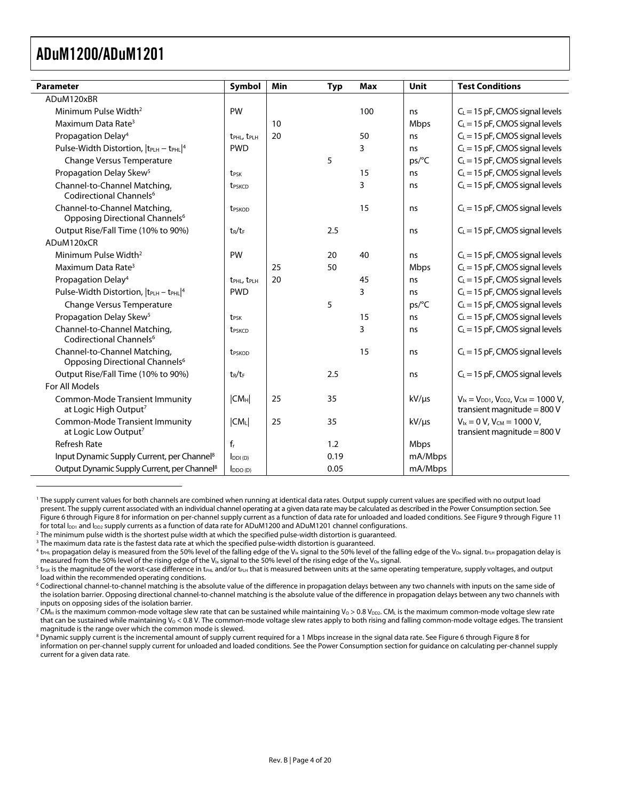<span id="page-3-8"></span><span id="page-3-7"></span> $\overline{a}$ 

<span id="page-3-0"></span>

| <b>Parameter</b>                                                           | <b>Symbol</b>                       | Min | <b>Typ</b> | <b>Max</b> | Unit       | <b>Test Conditions</b>                                                               |
|----------------------------------------------------------------------------|-------------------------------------|-----|------------|------------|------------|--------------------------------------------------------------------------------------|
| ADuM120xBR                                                                 |                                     |     |            |            |            |                                                                                      |
| Minimum Pulse Width <sup>2</sup>                                           | PW                                  |     |            | 100        | ns         | $C_L$ = 15 pF, CMOS signal levels                                                    |
| Maximum Data Rate <sup>3</sup>                                             |                                     | 10  |            |            | Mbps       | $C_L$ = 15 pF, CMOS signal levels                                                    |
| Propagation Delay <sup>4</sup>                                             | t <sub>PHL</sub> , t <sub>PLH</sub> | 20  |            | 50         | ns         | $C_L$ = 15 pF, CMOS signal levels                                                    |
| Pulse-Width Distortion, $ t_{\text{PLH}} - t_{\text{PHL}} ^4$              | <b>PWD</b>                          |     |            | 3          | ns         | $C_L$ = 15 pF, CMOS signal levels                                                    |
| Change Versus Temperature                                                  |                                     |     | 5          |            | ps/°C      | $C_L$ = 15 pF, CMOS signal levels                                                    |
| Propagation Delay Skew <sup>5</sup>                                        | t <sub>PSK</sub>                    |     |            | 15         | ns         | $C_L$ = 15 pF, CMOS signal levels                                                    |
| Channel-to-Channel Matching,<br>Codirectional Channels <sup>6</sup>        | <b>t</b> <sub>PSKCD</sub>           |     |            | 3          | ns         | $C_L$ = 15 pF, CMOS signal levels                                                    |
| Channel-to-Channel Matching,<br>Opposing Directional Channels <sup>6</sup> | t <sub>PSKOD</sub>                  |     |            | 15         | ns         | $C_L$ = 15 pF, CMOS signal levels                                                    |
| Output Rise/Fall Time (10% to 90%)                                         | $t_R/t_F$                           |     | 2.5        |            | ns         | $C_L$ = 15 pF, CMOS signal levels                                                    |
| ADuM120xCR                                                                 |                                     |     |            |            |            |                                                                                      |
| Minimum Pulse Width <sup>2</sup>                                           | PW                                  |     | 20         | 40         | ns         | $C_L$ = 15 pF, CMOS signal levels                                                    |
| Maximum Data Rate <sup>3</sup>                                             |                                     | 25  | 50         |            | Mbps       | $C_L$ = 15 pF, CMOS signal levels                                                    |
| Propagation Delay <sup>4</sup>                                             | t <sub>PHL</sub> , t <sub>PLH</sub> | 20  |            | 45         | ns         | $C_L$ = 15 pF, CMOS signal levels                                                    |
| Pulse-Width Distortion, $ t_{\text{PLH}} - t_{\text{PHL}} ^4$              | <b>PWD</b>                          |     |            | 3          | ns         | $C_L$ = 15 pF, CMOS signal levels                                                    |
| Change Versus Temperature                                                  |                                     |     | 5          |            | ps/C       | $C_L$ = 15 pF, CMOS signal levels                                                    |
| Propagation Delay Skew <sup>5</sup>                                        | t <sub>PSK</sub>                    |     |            | 15         | ns         | $C_L$ = 15 pF, CMOS signal levels                                                    |
| Channel-to-Channel Matching,<br>Codirectional Channels <sup>6</sup>        | <b>t</b> <sub>PSKCD</sub>           |     |            | 3          | ns         | $C_L$ = 15 pF, CMOS signal levels                                                    |
| Channel-to-Channel Matching,<br>Opposing Directional Channels <sup>6</sup> | t <sub>PSKOD</sub>                  |     |            | 15         | ns         | $C_L$ = 15 pF, CMOS signal levels                                                    |
| Output Rise/Fall Time (10% to 90%)                                         | $t_R/t_F$                           |     | 2.5        |            | ns         | $C_L$ = 15 pF, CMOS signal levels                                                    |
| For All Models                                                             |                                     |     |            |            |            |                                                                                      |
| <b>Common-Mode Transient Immunity</b><br>at Logic High Output <sup>7</sup> | CM <sub>H</sub>                     | 25  | 35         |            | $kV/\mu s$ | $V_{1x} = V_{DD1}$ , $V_{DD2}$ , $V_{CM} = 1000 V$ ,<br>transient magnitude = $800V$ |
| <b>Common-Mode Transient Immunity</b><br>at Logic Low Output <sup>7</sup>  | $ CM_{L} $                          | 25  | 35         |            | $kV/\mu s$ | $V_{1x} = 0 V$ , $V_{CM} = 1000 V$ ,<br>transient magnitude = $800V$                 |
| <b>Refresh Rate</b>                                                        | $f_r$                               |     | 1.2        |            | Mbps       |                                                                                      |
| Input Dynamic Supply Current, per Channel <sup>8</sup>                     | $I_{DDI(D)}$                        |     | 0.19       |            | mA/Mbps    |                                                                                      |
| Output Dynamic Supply Current, per Channel <sup>8</sup>                    | $I_{DDO(D)}$                        |     | 0.05       |            | mA/Mbps    |                                                                                      |

<span id="page-3-1"></span>1 The supply current values for both channels are combined when running at identical data rates. Output supply current values are specified with no output load present. The supply current associated with an individual channel operating at a given data rate may be calculated as described in [the Power Consumption s](#page-15-1)ection. See Figure 6 through Figure 8 for information on per-channel supply current as a function of data rate for unloaded and loaded conditions. See Figure 9 through Figure 11 for total  $I_{DD1}$  and  $I_{DD2}$  supply currents as a function of data rate for ADuM1200 and ADuM1201 channel configurations.<br><sup>2</sup> The minimum pulse width is the shortest pulse width at which the specified pulse-width distort

<span id="page-3-3"></span> $3$  The maximum data rate is the fastest data rate at which the specified pulse-width distortion is guaranteed.

<span id="page-3-9"></span> $^7$  CM $_{\rm H}$  is the maximum common-mode voltage slew rate that can be sustained while maintaining Vo > 0.8 V $_{\rm D2}$ . CM $_{\rm L}$  is the maximum common-mode voltage slew rate that can be sustained while maintaining V<sub>O</sub> < 0.8 V. The common-mode voltage slew rates apply to both rising and falling common-mode voltage edges. The transient magnitude is the range over which the common mode is slewed.

 $^8$  Dynamic supply current is the incremental amount of supply current required for a 1 Mbps increase in the signal data rate. See Figure 6 [through](#page-13-1) Figure 8 for information on per-channel supply current for unloaded and loaded conditions. See the Power Consumption section for guidance on calculating per-channel supply current for a given data rate.

<span id="page-3-2"></span><sup>&</sup>lt;sup>2</sup> The minimum pulse width is the shortest pulse width at which the specified pulse-width distortion is guaranteed.

<span id="page-3-4"></span> $^4$  t<sub>PHL</sub> propagation delay is measured from the 50% level of the falling edge of the V<sub>Ix</sub> signal to the 50% level of the falling edge of the V<sub>Ox</sub> signal. t<sub>PLH</sub> propagation delay is measured from the 50% level of the rising edge of the V<sub>Ix</sub> signal to the 50% level of the rising edge of the V<sub>Ox</sub> signal.

<span id="page-3-5"></span> $5$  t<sub>PSK</sub> is the magnitude of the worst-case difference in t<sub>PHL</sub> and/or t<sub>PLH</sub> that is measured between units at the same operating temperature, supply voltages, and output load within the recommended operating conditions.

<span id="page-3-6"></span> $^6$  Codirectional channel-to-channel matching is the absolute value of the difference in propagation delays between any two channels with inputs on the same side of the isolation barrier. Opposing directional channel-to-channel matching is the absolute value of the difference in propagation delays between any two channels with inputs on opposing sides of the isolation barrier.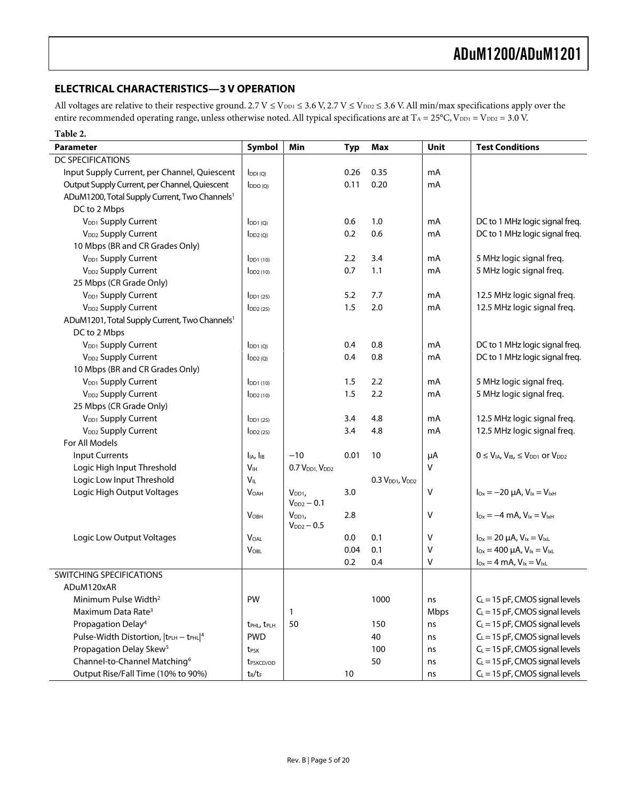#### <span id="page-4-0"></span>**ELECTRICAL CHARACTERISTICS—3 V OPERATION**

All voltages are relative to their respective ground.  $2.7 V \le V_{DD1} \le 3.6 V$ ,  $2.7 V \le V_{DD2} \le 3.6 V$ . All min/max specifications apply over the entire recommended operating range, unless otherwise noted. All typical specifications are at  $T_A = 25^{\circ}C$ ,  $V_{DD1} = V_{DD2} = 3.0$  V.

| Table 2.                                                  |                                     |                                       |            |                                         |      |                                                                    |
|-----------------------------------------------------------|-------------------------------------|---------------------------------------|------------|-----------------------------------------|------|--------------------------------------------------------------------|
| <b>Parameter</b>                                          | Symbol                              | Min                                   | <b>Typ</b> | <b>Max</b>                              | Unit | <b>Test Conditions</b>                                             |
| DC SPECIFICATIONS                                         |                                     |                                       |            |                                         |      |                                                                    |
| Input Supply Current, per Channel, Quiescent              | IDDI(Q)                             |                                       | 0.26       | 0.35                                    | mA   |                                                                    |
| Output Supply Current, per Channel, Quiescent             | $I_{DDO(Q)}$                        |                                       | 0.11       | 0.20                                    | mA   |                                                                    |
| ADuM1200, Total Supply Current, Two Channels <sup>1</sup> |                                     |                                       |            |                                         |      |                                                                    |
| DC to 2 Mbps                                              |                                     |                                       |            |                                         |      |                                                                    |
| V <sub>DD1</sub> Supply Current                           | $I_{DD1}$ (O)                       |                                       | 0.6        | 1.0                                     | mA   | DC to 1 MHz logic signal freq.                                     |
| V <sub>DD2</sub> Supply Current                           | $I_{DD2(Q)}$                        |                                       | 0.2        | 0.6                                     | mA   | DC to 1 MHz logic signal freq.                                     |
| 10 Mbps (BR and CR Grades Only)                           |                                     |                                       |            |                                         |      |                                                                    |
| V <sub>DD1</sub> Supply Current                           | $I_{DD1(10)}$                       |                                       | 2.2        | 3.4                                     | mA   | 5 MHz logic signal freq.                                           |
| V <sub>DD2</sub> Supply Current                           | $\overline{D}D2(10)$                |                                       | 0.7        | 1.1                                     | mA   | 5 MHz logic signal freq.                                           |
| 25 Mbps (CR Grade Only)                                   |                                     |                                       |            |                                         |      |                                                                    |
| V <sub>DD1</sub> Supply Current                           | IDD1(25)                            |                                       | 5.2        | 7.7                                     | mA   | 12.5 MHz logic signal freq.                                        |
| V <sub>DD2</sub> Supply Current                           | $I_{DD2(25)}$                       |                                       | 1.5        | 2.0                                     | mA   | 12.5 MHz logic signal freq.                                        |
| ADuM1201, Total Supply Current, Two Channels <sup>1</sup> |                                     |                                       |            |                                         |      |                                                                    |
| DC to 2 Mbps                                              |                                     |                                       |            |                                         |      |                                                                    |
| V <sub>DD1</sub> Supply Current                           | $I_{DD1}$ (O)                       |                                       | 0.4        | 0.8                                     | mA   | DC to 1 MHz logic signal freq.                                     |
| V <sub>DD2</sub> Supply Current                           | $I_{DD2(Q)}$                        |                                       | 0.4        | 0.8                                     | mA   | DC to 1 MHz logic signal freq.                                     |
| 10 Mbps (BR and CR Grades Only)                           |                                     |                                       |            |                                         |      |                                                                    |
| V <sub>DD1</sub> Supply Current                           | I <sub>DD1(10)</sub>                |                                       | $1.5\,$    | 2.2                                     | mA   | 5 MHz logic signal freq.                                           |
| V <sub>DD2</sub> Supply Current                           | IDD2(10)                            |                                       | 1.5        | 2.2                                     | mA   | 5 MHz logic signal freq.                                           |
| 25 Mbps (CR Grade Only)                                   |                                     |                                       |            |                                         |      |                                                                    |
| V <sub>DD1</sub> Supply Current                           | IDD1(25)                            |                                       | 3.4        | 4.8                                     | mA   | 12.5 MHz logic signal freq.                                        |
| V <sub>DD2</sub> Supply Current                           | $\overline{DD2(25)}$                |                                       | 3.4        | 4.8                                     | mA   | 12.5 MHz logic signal freq.                                        |
| For All Models                                            |                                     |                                       |            |                                         |      |                                                                    |
| <b>Input Currents</b>                                     | I <sub>IA</sub> , I <sub>IB</sub>   | $-10$                                 | 0.01       | 10                                      | μA   | $0 \leq V_{IA}$ , $V_{IB}$ , $\leq V_{DD1}$ or $V_{DD2}$           |
| Logic High Input Threshold                                | V <sub>IH</sub>                     | 0.7 V <sub>DD1</sub> V <sub>DD2</sub> |            |                                         | v    |                                                                    |
| Logic Low Input Threshold                                 | VIL                                 |                                       |            | 0.3 V <sub>DD1</sub> , V <sub>DD2</sub> |      |                                                                    |
| Logic High Output Voltages                                | <b>VOAH</b>                         | V <sub>DD1</sub><br>$V_{DD2} - 0.1$   | 3.0        |                                         | V    | $I_{Ox} = -20 \mu A$ , $V_{1x} = V_{1xH}$                          |
|                                                           | V <sub>OBH</sub>                    | $V_{DD1}$                             | 2.8        |                                         | ٧    | $I_{\text{Ox}} = -4 \text{ mA}$ , $V_{\text{lx}} = V_{\text{lxH}}$ |
|                                                           |                                     | $V_{DD2} - 0.5$                       |            |                                         |      |                                                                    |
| Logic Low Output Voltages                                 | $\mathsf{V}_{\mathsf{OAL}}$         |                                       | $0.0\,$    | 0.1                                     | V    | $I_{Ox} = 20 \mu A$ , $V_{Ix} = V_{IxL}$                           |
|                                                           | $V_{OBL}$                           |                                       | 0.04       | 0.1                                     | ٧    | $I_{Ox} = 400 \mu A$ , $V_{1x} = V_{1x}L$                          |
|                                                           |                                     |                                       | 0.2        | 0.4                                     | V    | $I_{Ox} = 4$ mA, $V_{1x} = V_{1xL}$                                |
| SWITCHING SPECIFICATIONS                                  |                                     |                                       |            |                                         |      |                                                                    |
| ADuM120xAR                                                |                                     |                                       |            |                                         |      |                                                                    |
| Minimum Pulse Width <sup>2</sup>                          | PW                                  |                                       |            | 1000                                    | ns   | $C_L$ = 15 pF, CMOS signal levels                                  |
| Maximum Data Rate <sup>3</sup>                            |                                     | 1                                     |            |                                         | Mbps | $C_L$ = 15 pF, CMOS signal levels                                  |
| Propagation Delay <sup>4</sup>                            | t <sub>PHL</sub> , t <sub>PLH</sub> | 50                                    |            | 150                                     | ns   | $C_L = 15$ pF, CMOS signal levels                                  |
| Pulse-Width Distortion,  tPLH - tPHL 4                    | <b>PWD</b>                          |                                       |            | 40                                      | ns   | $C_L = 15$ pF, CMOS signal levels                                  |
| Propagation Delay Skew <sup>5</sup>                       | t <sub>PSK</sub>                    |                                       |            | 100                                     | ns   | $C_L$ = 15 pF, CMOS signal levels                                  |
| Channel-to-Channel Matching <sup>6</sup>                  | t <sub>PSKCD/OD</sub>               |                                       |            | 50                                      | ns   | $C_L$ = 15 pF, CMOS signal levels                                  |
| Output Rise/Fall Time (10% to 90%)                        | $t_R/t_F$                           |                                       | 10         |                                         | ns   | $C_L$ = 15 pF, CMOS signal levels                                  |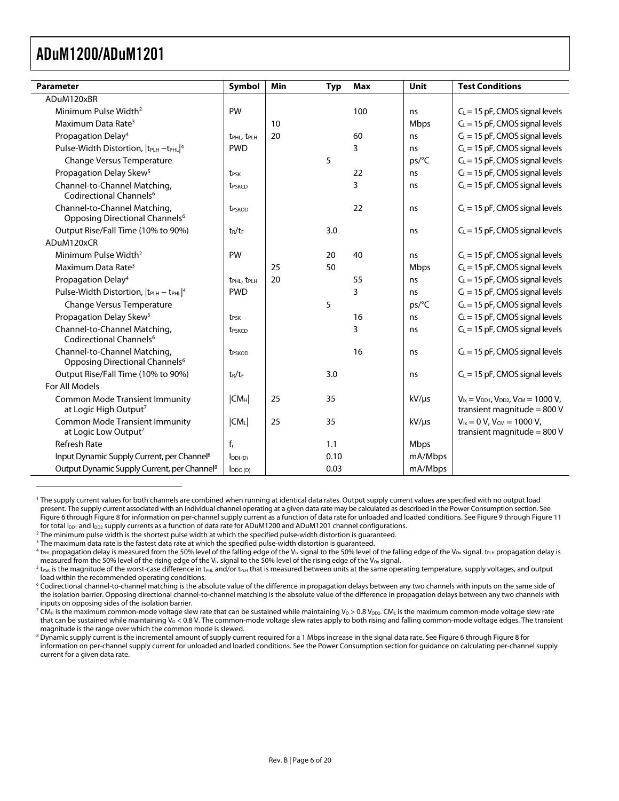<span id="page-5-8"></span><span id="page-5-7"></span> $\overline{a}$ 

<span id="page-5-0"></span>

| Parameter                                                                  | Symbol                              | Min | <b>Typ</b> | Max | Unit        | <b>Test Conditions</b>                                                               |
|----------------------------------------------------------------------------|-------------------------------------|-----|------------|-----|-------------|--------------------------------------------------------------------------------------|
| ADuM120xBR                                                                 |                                     |     |            |     |             |                                                                                      |
| Minimum Pulse Width <sup>2</sup>                                           | PW                                  |     |            | 100 | ns          | $C_L$ = 15 pF, CMOS signal levels                                                    |
| Maximum Data Rate <sup>3</sup>                                             |                                     | 10  |            |     | <b>Mbps</b> | $C_L$ = 15 pF, CMOS signal levels                                                    |
| Propagation Delay <sup>4</sup>                                             | t <sub>PHL</sub> , t <sub>PLH</sub> | 20  |            | 60  | ns          | $C_L$ = 15 pF, CMOS signal levels                                                    |
| Pulse-Width Distortion,  tPLH -tPHL 4                                      | <b>PWD</b>                          |     |            | 3   | ns          | $C_L$ = 15 pF, CMOS signal levels                                                    |
| <b>Change Versus Temperature</b>                                           |                                     |     | 5          |     | ps/°C       | $C_L$ = 15 pF, CMOS signal levels                                                    |
| Propagation Delay Skew <sup>5</sup>                                        | t <sub>PSK</sub>                    |     |            | 22  | ns          | $C_L$ = 15 pF, CMOS signal levels                                                    |
| Channel-to-Channel Matching,<br>Codirectional Channels <sup>6</sup>        | t <sub>PSKCD</sub>                  |     |            | 3   | ns          | $C_L$ = 15 pF, CMOS signal levels                                                    |
| Channel-to-Channel Matching,<br>Opposing Directional Channels <sup>6</sup> | <b>t</b> <sub>PSKOD</sub>           |     |            | 22  | ns          | $C_L$ = 15 pF, CMOS signal levels                                                    |
| Output Rise/Fall Time (10% to 90%)                                         | $t_R/t_F$                           |     | 3.0        |     | ns          | $C_L$ = 15 pF, CMOS signal levels                                                    |
| ADuM120xCR                                                                 |                                     |     |            |     |             |                                                                                      |
| Minimum Pulse Width <sup>2</sup>                                           | PW                                  |     | 20         | 40  | ns          | $C_L$ = 15 pF, CMOS signal levels                                                    |
| Maximum Data Rate <sup>3</sup>                                             |                                     | 25  | 50         |     | Mbps        | $C_L = 15$ pF, CMOS signal levels                                                    |
| Propagation Delay <sup>4</sup>                                             | t <sub>PHL</sub> , t <sub>PLH</sub> | 20  |            | 55  | ns          | $C_L$ = 15 pF, CMOS signal levels                                                    |
| Pulse-Width Distortion, $ t_{\text{PLH}} - t_{\text{PHL}} ^4$              | <b>PWD</b>                          |     |            | 3   | ns          | $C_L$ = 15 pF, CMOS signal levels                                                    |
| <b>Change Versus Temperature</b>                                           |                                     |     | 5          |     | ps/°C       | $C_L$ = 15 pF, CMOS signal levels                                                    |
| Propagation Delay Skew <sup>5</sup>                                        | t <sub>PSK</sub>                    |     |            | 16  | ns          | $C_L$ = 15 pF, CMOS signal levels                                                    |
| Channel-to-Channel Matching,<br>Codirectional Channels <sup>6</sup>        | t <sub>PSKCD</sub>                  |     |            | 3   | ns          | $C_L$ = 15 pF, CMOS signal levels                                                    |
| Channel-to-Channel Matching,<br>Opposing Directional Channels <sup>6</sup> | t <sub>PSKOD</sub>                  |     |            | 16  | ns          | $C_L$ = 15 pF, CMOS signal levels                                                    |
| Output Rise/Fall Time (10% to 90%)                                         | $t_R/t_F$                           |     | 3.0        |     | ns          | $C_L$ = 15 pF, CMOS signal levels                                                    |
| For All Models                                                             |                                     |     |            |     |             |                                                                                      |
| <b>Common Mode Transient Immunity</b><br>at Logic High Output <sup>7</sup> | CM <sub>H</sub>                     | 25  | 35         |     | $kV/\mu s$  | $V_{1x} = V_{DD1}$ , $V_{DD2}$ , $V_{CM} = 1000 V$ ,<br>transient magnitude = $800V$ |
| <b>Common Mode Transient Immunity</b><br>at Logic Low Output <sup>7</sup>  | CM <sub>L</sub>                     | 25  | 35         |     | $kV/\mu s$  | $V_{1x} = 0 V$ , $V_{CM} = 1000 V$ ,<br>transient magnitude = $800V$                 |
| <b>Refresh Rate</b>                                                        | $f_r$                               |     | 1.1        |     | Mbps        |                                                                                      |
| Input Dynamic Supply Current, per Channel <sup>8</sup>                     | $I_{DDI(D)}$                        |     | 0.10       |     | mA/Mbps     |                                                                                      |
| Output Dynamic Supply Current, per Channel <sup>8</sup>                    | $I_{DDO(D)}$                        |     | 0.03       |     | mA/Mbps     |                                                                                      |

<span id="page-5-1"></span>1 The supply current values for both channels are combined when running at identical data rates. Output supply current values are specified with no output load present. The supply current associated with an individual channel operating at a given data rate may be calculated as described in th[e Power Consumption se](#page-15-1)ction. See Figure 6 through Figure 8 for information on per-channel supply current as a function of data rate for unloaded and loaded conditions. See Figure 9 through Figure 11 for total  $I_{DD1}$  and  $I_{DD2}$  supply currents as a function of data rate for ADuM1200 and ADuM1201 channel configurations.<br><sup>2</sup> The minimum pulse width is the shortest pulse width at which the specified pulse-width distort

<span id="page-5-3"></span> $3$  The maximum data rate is the fastest data rate at which the specified pulse-width distortion is guaranteed.

<span id="page-5-9"></span> $^7$  CM $_{\rm H}$  is the maximum common-mode voltage slew rate that can be sustained while maintaining Vo > 0.8 V $_{\rm D2}$ . CM $_{\rm L}$  is the maximum common-mode voltage slew rate that can be sustained while maintaining V<sub>O</sub> < 0.8 V. The common-mode voltage slew rates apply to both rising and falling common-mode voltage edges. The transient magnitude is the range over which the common mode is slewed.

 $^8$  Dynamic supply current is the incremental amount of supply current required for a 1 Mbps increase in the signal data rate. See Figure 6 through Figure 8 for information on per-channel [s](#page-15-1)upply current for unloaded and loaded conditions. See the Power Consumption section for guidance on calculating per-channel supply current for a given data rate.

<span id="page-5-2"></span><sup>&</sup>lt;sup>2</sup> The minimum pulse width is the shortest pulse width at which the specified pulse-width distortion is guaranteed.

<span id="page-5-4"></span> $^4$  t<sub>PHL</sub> propagation delay is measured from the 50% level of the falling edge of the V<sub>Ix</sub> signal to the 50% level of the falling edge of the V<sub>Ox</sub> signal. t<sub>PLH</sub> propagation delay is measured from the 50% level of the rising edge of the V<sub>Ix</sub> signal to the 50% level of the rising edge of the V<sub>Ox</sub> signal.

<span id="page-5-5"></span> $5$  t<sub>PSK</sub> is the magnitude of the worst-case difference in t<sub>PHL</sub> and/or t<sub>PLH</sub> that is measured between units at the same operating temperature, supply voltages, and output load within the recommended operating conditions.

<span id="page-5-6"></span> $^6$  Codirectional channel-to-channel matching is the absolute value of the difference in propagation delays between any two channels with inputs on the same side of the isolation barrier. Opposing directional channel-to-channel matching is the absolute value of the difference in propagation delays between any two channels with inputs on opposing sides of the isolation barrier.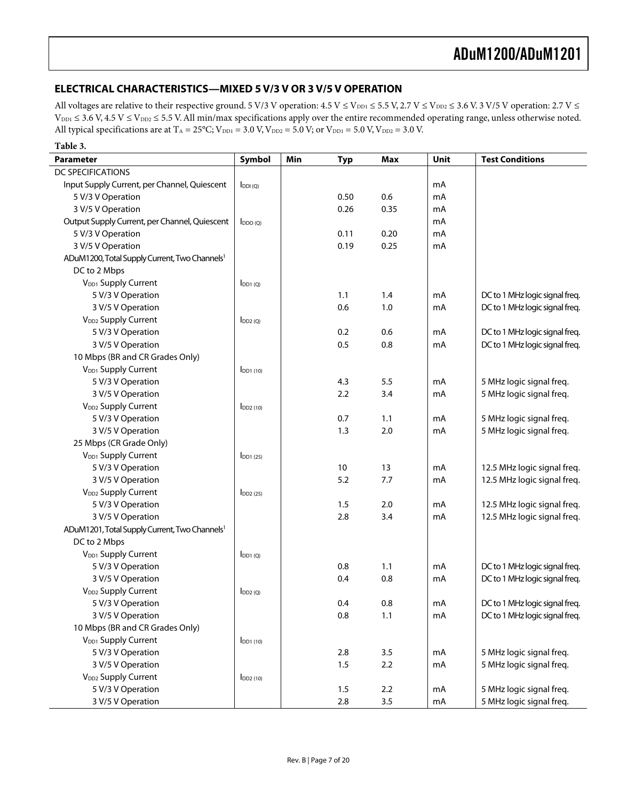#### <span id="page-6-0"></span>**ELECTRICAL CHARACTERISTICS—MIXED 5 V/3 V OR 3 V/5 V OPERATION**

All voltages are relative to their respective ground. 5 V/3 V operation:  $4.5$  V  $\leq$  V<sub>DD1</sub>  $\leq$  5.5 V, 2.7 V  $\leq$  V<sub>DD2</sub>  $\leq$  3.6 V. 3 V/5 V operation: 2.7 V  $\leq$  $V_{\text{DD1}}$   $\leq$  3.6 V, 4.5 V  $\leq$   $V_{\text{DD2}}$   $\leq$  5.5 V. All min/max specifications apply over the entire recommended operating range, unless otherwise noted. All typical specifications are at  $T_A = 25^{\circ}\text{C}$ ;  $V_{\text{DD1}} = 3.0 \text{ V}$ ,  $V_{\text{DD2}} = 5.0 \text{ V}$ ; or  $V_{\text{DD1}} = 5.0 \text{ V}$ ,  $V_{\text{DD2}} = 3.0 \text{ V}$ .

| Table 3.                                                  |                            |     |            |            |      |                                |
|-----------------------------------------------------------|----------------------------|-----|------------|------------|------|--------------------------------|
| <b>Parameter</b>                                          | Symbol                     | Min | <b>Typ</b> | <b>Max</b> | Unit | <b>Test Conditions</b>         |
| <b>DC SPECIFICATIONS</b>                                  |                            |     |            |            |      |                                |
| Input Supply Current, per Channel, Quiescent              | $I_{DDI(Q)}$               |     |            |            | mA   |                                |
| 5 V/3 V Operation                                         |                            |     | 0.50       | 0.6        | mA   |                                |
| 3 V/5 V Operation                                         |                            |     | 0.26       | 0.35       | mA   |                                |
| Output Supply Current, per Channel, Quiescent             | $I_{DDO(Q)}$               |     |            |            | mA   |                                |
| 5 V/3 V Operation                                         |                            |     | 0.11       | 0.20       | mA   |                                |
| 3 V/5 V Operation                                         |                            |     | 0.19       | 0.25       | mA   |                                |
| ADuM1200, Total Supply Current, Two Channels <sup>1</sup> |                            |     |            |            |      |                                |
| DC to 2 Mbps                                              |                            |     |            |            |      |                                |
| V <sub>DD1</sub> Supply Current                           | $I_{DD1(Q)}$               |     |            |            |      |                                |
| 5 V/3 V Operation                                         |                            |     | 1.1        | 1.4        | mA   | DC to 1 MHz logic signal freq. |
| 3 V/5 V Operation                                         |                            |     | 0.6        | 1.0        | mA   | DC to 1 MHz logic signal freq. |
| V <sub>DD2</sub> Supply Current                           | IDD2(Q)                    |     |            |            |      |                                |
| 5 V/3 V Operation                                         |                            |     | 0.2        | 0.6        | mA   | DC to 1 MHz logic signal freq. |
| 3 V/5 V Operation                                         |                            |     | 0.5        | 0.8        | mA   | DC to 1 MHz logic signal freq. |
| 10 Mbps (BR and CR Grades Only)                           |                            |     |            |            |      |                                |
| V <sub>DD1</sub> Supply Current                           | $I$ DD <sub>1</sub> $(10)$ |     |            |            |      |                                |
| 5 V/3 V Operation                                         |                            |     | 4.3        | 5.5        | mA   | 5 MHz logic signal freq.       |
| 3 V/5 V Operation                                         |                            |     | 2.2        | 3.4        | mA   | 5 MHz logic signal freq.       |
| V <sub>DD2</sub> Supply Current                           | $I_{DD2(10)}$              |     |            |            |      |                                |
| 5 V/3 V Operation                                         |                            |     | 0.7        | 1.1        | mA   | 5 MHz logic signal freq.       |
| 3 V/5 V Operation                                         |                            |     | 1.3        | 2.0        | mA   | 5 MHz logic signal freq.       |
| 25 Mbps (CR Grade Only)                                   |                            |     |            |            |      |                                |
| V <sub>DD1</sub> Supply Current                           | $I$ <sub>DD1</sub> $(25)$  |     |            |            |      |                                |
| 5 V/3 V Operation                                         |                            |     | 10         | 13         | mA   | 12.5 MHz logic signal freq.    |
| 3 V/5 V Operation                                         |                            |     | 5.2        | 7.7        | mA   | 12.5 MHz logic signal freq.    |
| V <sub>DD2</sub> Supply Current                           | $I_{DD2(25)}$              |     |            |            |      |                                |
| 5 V/3 V Operation                                         |                            |     | 1.5        | 2.0        | mA   | 12.5 MHz logic signal freq.    |
| 3 V/5 V Operation                                         |                            |     | 2.8        | 3.4        | mA   | 12.5 MHz logic signal freq.    |
| ADuM1201, Total Supply Current, Two Channels <sup>1</sup> |                            |     |            |            |      |                                |
| DC to 2 Mbps                                              |                            |     |            |            |      |                                |
| V <sub>DD1</sub> Supply Current                           | $I_{DD1(Q)}$               |     |            |            |      |                                |
| 5 V/3 V Operation                                         |                            |     | 0.8        | 1.1        | mA   | DC to 1 MHz logic signal freq. |
| 3 V/5 V Operation                                         |                            |     | 0.4        | 0.8        | mA   | DC to 1 MHz logic signal freq. |
| V <sub>DD2</sub> Supply Current                           | $I_{DD2(Q)}$               |     |            |            |      |                                |
| 5 V/3 V Operation                                         |                            |     | 0.4        | 0.8        | mA   | DC to 1 MHz logic signal freq. |
| 3 V/5 V Operation                                         |                            |     | 0.8        | 1.1        | mA   | DC to 1 MHz logic signal freq. |
| 10 Mbps (BR and CR Grades Only)                           |                            |     |            |            |      |                                |
| V <sub>DD1</sub> Supply Current                           | IDD1(10)                   |     |            |            |      |                                |
| 5 V/3 V Operation                                         |                            |     | 2.8        | 3.5        | mA   | 5 MHz logic signal freq.       |
| 3 V/5 V Operation                                         |                            |     | 1.5        | 2.2        | mA   | 5 MHz logic signal freq.       |
| V <sub>DD2</sub> Supply Current                           | $I_{DD2(10)}$              |     |            |            |      |                                |
| 5 V/3 V Operation                                         |                            |     | 1.5        | 2.2        | mA   | 5 MHz logic signal freq.       |
| 3 V/5 V Operation                                         |                            |     | 2.8        | 3.5        | mA   | 5 MHz logic signal freq.       |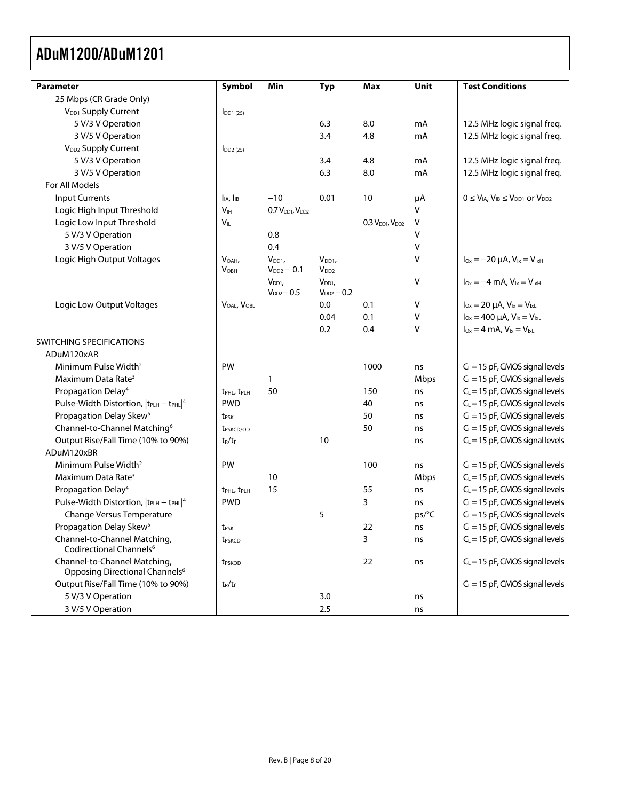| <b>Parameter</b>                                                           | Symbol                              | Min                                     | <b>Typ</b>       | <b>Max</b>                              | Unit   | <b>Test Conditions</b>                               |
|----------------------------------------------------------------------------|-------------------------------------|-----------------------------------------|------------------|-----------------------------------------|--------|------------------------------------------------------|
| 25 Mbps (CR Grade Only)                                                    |                                     |                                         |                  |                                         |        |                                                      |
| V <sub>DD1</sub> Supply Current                                            | $I_{DD1(25)}$                       |                                         |                  |                                         |        |                                                      |
| 5 V/3 V Operation                                                          |                                     |                                         | 6.3              | 8.0                                     | mA     | 12.5 MHz logic signal freq.                          |
| 3 V/5 V Operation                                                          |                                     |                                         | 3.4              | 4.8                                     | mA     | 12.5 MHz logic signal freq.                          |
| V <sub>DD2</sub> Supply Current                                            | $I_{DD2(25)}$                       |                                         |                  |                                         |        |                                                      |
| 5 V/3 V Operation                                                          |                                     |                                         | 3.4              | 4.8                                     | mA     | 12.5 MHz logic signal freq.                          |
| 3 V/5 V Operation                                                          |                                     |                                         | 6.3              | 8.0                                     | mA     | 12.5 MHz logic signal freq.                          |
| For All Models                                                             |                                     |                                         |                  |                                         |        |                                                      |
| <b>Input Currents</b>                                                      | $I_{IA}$ , $I_{IB}$                 | $-10$                                   | 0.01             | 10                                      | μA     | $0 \leq V_{IA}$ , $V_{IB} \leq V_{DD1}$ or $V_{DD2}$ |
| Logic High Input Threshold                                                 | V <sub>IH</sub>                     | 0.7 V <sub>DD1</sub> , V <sub>DD2</sub> |                  |                                         | $\vee$ |                                                      |
| Logic Low Input Threshold                                                  | $V_{IL}$                            |                                         |                  | 0.3 V <sub>DD1</sub> , V <sub>DD2</sub> | v      |                                                      |
| 5 V/3 V Operation                                                          |                                     | 0.8                                     |                  |                                         | $\vee$ |                                                      |
| 3 V/5 V Operation                                                          |                                     | 0.4                                     |                  |                                         | V      |                                                      |
| Logic High Output Voltages                                                 | VOAH,                               | V <sub>DD1</sub>                        | V <sub>DD1</sub> |                                         | V      | $I_{Ox} = -20 \mu A$ , $V_{1x} = V_{1xH}$            |
|                                                                            | <b>VOBH</b>                         | $V_{DD2} - 0.1$                         | V <sub>DD2</sub> |                                         |        |                                                      |
|                                                                            |                                     | V <sub>DD1</sub>                        | V <sub>DD1</sub> |                                         | V      | $I_{Ox} = -4$ mA, $V_{1x} = V_{1xH}$                 |
|                                                                            |                                     | $V_{DD2} - 0.5$                         | $V_{DD2} - 0.2$  |                                         |        |                                                      |
| Logic Low Output Voltages                                                  | VOAL, VOBL                          |                                         | 0.0              | 0.1                                     | V      | $I_{Ox} = 20 \mu A$ , $V_{1x} = V_{1xL}$             |
|                                                                            |                                     |                                         | 0.04             | 0.1                                     | V      | $I_{0x} = 400 \mu A$ , $V_{1x} = V_{1xL}$            |
|                                                                            |                                     |                                         | 0.2              | 0.4                                     | V      | $I_{Ox} = 4$ mA, $V_{1x} = V_{1xL}$                  |
| SWITCHING SPECIFICATIONS                                                   |                                     |                                         |                  |                                         |        |                                                      |
| ADuM120xAR                                                                 |                                     |                                         |                  |                                         |        |                                                      |
| Minimum Pulse Width <sup>2</sup>                                           | PW                                  |                                         |                  | 1000                                    | ns     | $C_L = 15$ pF, CMOS signal levels                    |
| Maximum Data Rate <sup>3</sup>                                             |                                     | 1                                       |                  |                                         | Mbps   | $C_L = 15$ pF, CMOS signal levels                    |
| Propagation Delay <sup>4</sup>                                             | t <sub>PHL</sub> , t <sub>PLH</sub> | 50                                      |                  | 150                                     | ns     | $C_L$ = 15 pF, CMOS signal levels                    |
| Pulse-Width Distortion,  tPLH - tPHL 4                                     | <b>PWD</b>                          |                                         |                  | 40                                      | ns     | $C_L = 15$ pF, CMOS signal levels                    |
| Propagation Delay Skew <sup>5</sup>                                        | t <sub>PSK</sub>                    |                                         |                  | 50                                      | ns     | $C_L$ = 15 pF, CMOS signal levels                    |
| Channel-to-Channel Matching <sup>6</sup>                                   | t <sub>PSKCD/OD</sub>               |                                         |                  | 50                                      | ns     | $C_L = 15$ pF, CMOS signal levels                    |
| Output Rise/Fall Time (10% to 90%)                                         | $t_R/t_F$                           |                                         | 10               |                                         | ns     | $C_L = 15$ pF, CMOS signal levels                    |
| ADuM120xBR                                                                 |                                     |                                         |                  |                                         |        |                                                      |
| Minimum Pulse Width <sup>2</sup>                                           | PW                                  |                                         |                  | 100                                     | ns     | $C_L = 15$ pF, CMOS signal levels                    |
| Maximum Data Rate <sup>3</sup>                                             |                                     | 10                                      |                  |                                         | Mbps   | $C_L$ = 15 pF, CMOS signal levels                    |
| Propagation Delay <sup>4</sup>                                             | <b>tPHL, tPLH</b>                   | 15                                      |                  | 55                                      | ns     | $C_L$ = 15 pF, CMOS signal levels                    |
| Pulse-Width Distortion,  tPLH - tPHL 4                                     | <b>PWD</b>                          |                                         |                  | 3                                       | ns     | $C_L = 15$ pF, CMOS signal levels                    |
| Change Versus Temperature                                                  |                                     |                                         | 5                |                                         | ps/°C  | $C_L$ = 15 pF, CMOS signal levels                    |
| Propagation Delay Skew <sup>5</sup>                                        | t <sub>PSK</sub>                    |                                         |                  | 22                                      | ns     | $C_L = 15$ pF, CMOS signal levels                    |
| Channel-to-Channel Matching,<br>Codirectional Channels <sup>6</sup>        | t <sub>PSKCD</sub>                  |                                         |                  | 3                                       | ns     | $C_L$ = 15 pF, CMOS signal levels                    |
| Channel-to-Channel Matching,<br>Opposing Directional Channels <sup>6</sup> | t <sub>PSKOD</sub>                  |                                         |                  | 22                                      | ns     | $C_L$ = 15 pF, CMOS signal levels                    |
| Output Rise/Fall Time (10% to 90%)                                         | $t_R/t_f$                           |                                         |                  |                                         |        | $C_L$ = 15 pF, CMOS signal levels                    |
| 5 V/3 V Operation                                                          |                                     |                                         | 3.0              |                                         | ns     |                                                      |
| 3 V/5 V Operation                                                          |                                     |                                         | 2.5              |                                         | ns     |                                                      |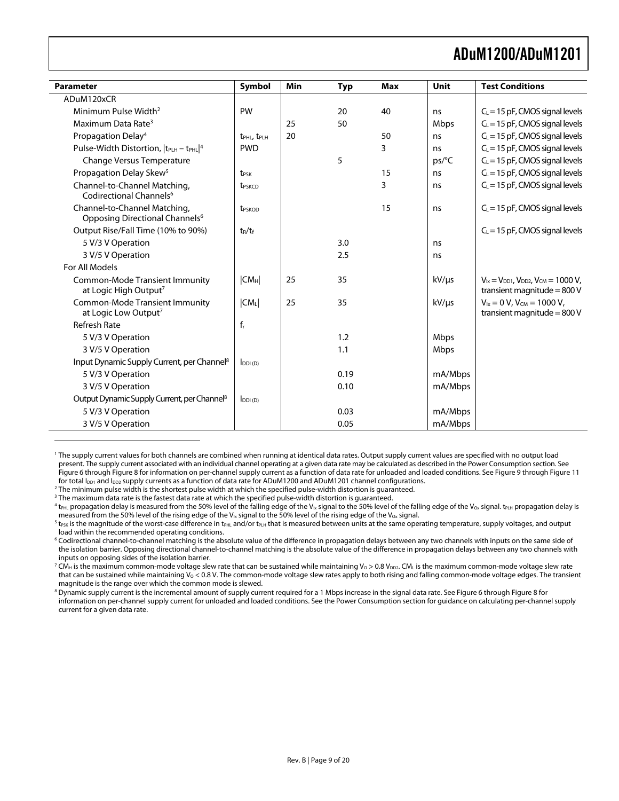<span id="page-8-0"></span>

| Parameter                                                                  | Symbol                              | Min | <b>Typ</b> | <b>Max</b> | Unit       | <b>Test Conditions</b>                                                               |
|----------------------------------------------------------------------------|-------------------------------------|-----|------------|------------|------------|--------------------------------------------------------------------------------------|
| ADuM120xCR                                                                 |                                     |     |            |            |            |                                                                                      |
| Minimum Pulse Width <sup>2</sup>                                           | PW                                  |     | 20         | 40         | ns         | $C_L$ = 15 pF, CMOS signal levels                                                    |
| Maximum Data Rate <sup>3</sup>                                             |                                     | 25  | 50         |            | Mbps       | $C_L$ = 15 pF, CMOS signal levels                                                    |
| Propagation Delay <sup>4</sup>                                             | t <sub>PHL</sub> , t <sub>PLH</sub> | 20  |            | 50         | ns         | $C_L$ = 15 pF, CMOS signal levels                                                    |
| Pulse-Width Distortion,  t <sub>PLH</sub> - t <sub>PHL</sub>  4            | <b>PWD</b>                          |     |            | 3          | ns         | $C_L$ = 15 pF, CMOS signal levels                                                    |
| Change Versus Temperature                                                  |                                     |     | 5          |            | ps/C       | $C_L$ = 15 pF, CMOS signal levels                                                    |
| Propagation Delay Skew <sup>5</sup>                                        | t <sub>PSK</sub>                    |     |            | 15         | ns         | $C_L$ = 15 pF, CMOS signal levels                                                    |
| Channel-to-Channel Matching,<br>Codirectional Channels <sup>6</sup>        | <b>t</b> <sub>PSKCD</sub>           |     |            | 3          | ns.        | $C_L$ = 15 pF, CMOS signal levels                                                    |
| Channel-to-Channel Matching,<br>Opposing Directional Channels <sup>6</sup> | <b>t</b> <sub>PSKOD</sub>           |     |            | 15         | ns         | $C_l = 15$ pF, CMOS signal levels                                                    |
| Output Rise/Fall Time (10% to 90%)                                         | $t_R/t_f$                           |     |            |            |            | $C_L$ = 15 pF, CMOS signal levels                                                    |
| 5 V/3 V Operation                                                          |                                     |     | 3.0        |            | ns         |                                                                                      |
| 3 V/5 V Operation                                                          |                                     |     | 2.5        |            | ns         |                                                                                      |
| For All Models                                                             |                                     |     |            |            |            |                                                                                      |
| <b>Common-Mode Transient Immunity</b><br>at Logic High Output <sup>7</sup> | CM <sub>H</sub>                     | 25  | 35         |            | $kV/\mu s$ | $V_{1x} = V_{DD1}$ , $V_{DD2}$ , $V_{CM} = 1000 V$ ,<br>transient magnitude = $800V$ |
| <b>Common-Mode Transient Immunity</b><br>at Logic Low Output <sup>7</sup>  | $ CM_L $                            | 25  | 35         |            | $kV/\mu s$ | $V_{1x} = 0 V$ , $V_{CM} = 1000 V$ ,<br>transient magnitude = $800V$                 |
| <b>Refresh Rate</b>                                                        | $f_r$                               |     |            |            |            |                                                                                      |
| 5 V/3 V Operation                                                          |                                     |     | 1.2        |            | Mbps       |                                                                                      |
| 3 V/5 V Operation                                                          |                                     |     | 1.1        |            | Mbps       |                                                                                      |
| Input Dynamic Supply Current, per Channel <sup>8</sup>                     | $I_{DDI(D)}$                        |     |            |            |            |                                                                                      |
| 5 V/3 V Operation                                                          |                                     |     | 0.19       |            | mA/Mbps    |                                                                                      |
| 3 V/5 V Operation                                                          |                                     |     | 0.10       |            | mA/Mbps    |                                                                                      |
| Output Dynamic Supply Current, per Channel <sup>8</sup>                    | $I_{DDI(D)}$                        |     |            |            |            |                                                                                      |
| 5 V/3 V Operation                                                          |                                     |     | 0.03       |            | mA/Mbps    |                                                                                      |
| 3 V/5 V Operation                                                          |                                     |     | 0.05       |            | mA/Mbps    |                                                                                      |

<span id="page-8-1"></span><sup>1</sup> The supply current values for both channels are combined when running at identical data rates. Output supply current values are specified with no output load present. The supply current associated with an individual channel operating at a given data rate may be calculated as described in the [Power Consumption](#page-15-1) section. See [Figure 6 through](#page-13-1) Figure 8 for information on per-channel supply current as a function of data rate for unloaded and loaded conditions. See Figure 9 through Figure 11 for total  $I_{DD1}$  and  $I_{DD2}$  supply currents as a function of data rate for ADuM1200 and ADuM1201 channel configurations.<br><sup>2</sup> The minimum pulse width is the shortest pulse width at which the specified pulse-width distort

<span id="page-8-2"></span><sup>2</sup> The minimum pulse width is the shortest pulse width at which the specified pulse-width distortion is guaranteed.

<span id="page-8-3"></span><sup>3</sup> The maximum data rate is the fastest data rate at which the specified pulse-width distortion is guaranteed.

<span id="page-8-8"></span><span id="page-8-7"></span> $\overline{a}$ 

<span id="page-8-4"></span> $^4$  t<sub>PHL</sub> propagation delay is measured from the 50% level of the falling edge of the V<sub>Ix</sub> signal to the 50% level of the falling edge of the V<sub>ox</sub> signal. t<sub>PLH</sub> propagation delay is measured from the 50% level of the rising edge of the V<sub>Ix</sub> signal to the 50% level of the rising edge of the V<sub>Ox</sub> signal.

<span id="page-8-5"></span> $5$  t<sub>PSK</sub> is the magnitude of the worst-case difference in t<sub>PHL</sub> and/or t<sub>PLH</sub> that is measured between units at the same operating temperature, supply voltages, and output load within the recommended operating conditions.

<span id="page-8-6"></span>6 Codirectional channel-to-channel matching is the absolute value of the difference in propagation delays between any two channels with inputs on the same side of the isolation barrier. Opposing directional channel-to-channel matching is the absolute value of the difference in propagation delays between any two channels with inputs on opposing sides of the isolation barrier.

<span id="page-8-9"></span> $^7$  CM $_{\rm H}$  is the maximum common-mode voltage slew rate that can be sustained while maintaining Vo > 0.8 V $_{\rm DD}$ . CM $_{\rm L}$  is the maximum common-mode voltage slew rate that can be sustained while maintaining  $V_0 < 0.8$  V. The common-mode voltage slew rates apply to both rising and falling common-mode voltage edges. The transient magnitude is the range over which the common mode is slewed.

 $^8$  Dynamic supply current is the incremental amount of supply current required for a 1 Mbps increase in the signal data rate. See Figure 6 through Figure 8 for information on per-channel supply current for unloaded and loaded conditions. See the Power Consumption section for guidance on calculating per-channel supply current for a given data rate.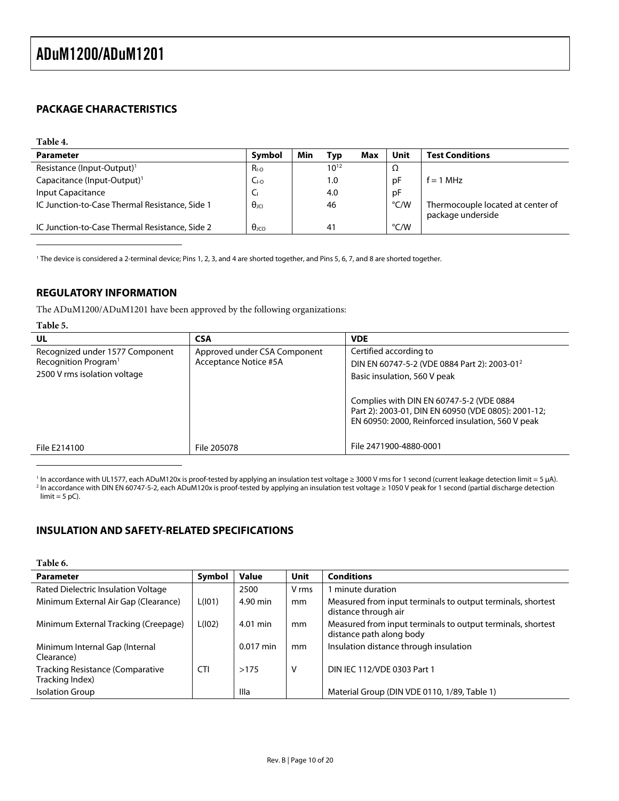#### <span id="page-9-0"></span>**PACKAGE CHARACTERISTICS**

#### <span id="page-9-1"></span>**Table 4. Parameter Symbol Min Typ Max Unit Test Conditions** Resistance (Input-Output)<sup>[1](#page-9-2)</sup>  $R_{1-0}$  10<sup>12</sup> 10<sup>12</sup>  $\Omega$ Capacitance (Input-Output)<sup>1</sup>  $C_{10}$   $C_{10}$  1.0 pF f = 1 MHz Input Capacitance  $\begin{vmatrix} C_1 & 4.0 & \mathbf{p} \end{vmatrix}$ IC Junction-to-Case Thermal Resistance, Side 1  $\theta_{JCI}$  46  $\theta_{JCI}$  7 Thermocouple located at center of package underside IC Junction-to-Case Thermal Resistance, Side 2  $\theta_{\text{JCO}}$  41  $\theta_{\text{C/W}}$

<span id="page-9-2"></span><sup>1</sup> The device is considered a 2-terminal device; Pins 1, 2, 3, and 4 are shorted together, and Pins 5, 6, 7, and 8 are shorted together.

#### **REGULATORY INFORMATION**

The ADuM1200/ADuM1201 have been approved by the following organizations:

#### **Table 5.**

 $\overline{a}$ 

 $\overline{a}$ 

| UL                                                                                                  | <b>CSA</b>                                            | <b>VDE</b>                                                                                                                                                                                                                                                                 |
|-----------------------------------------------------------------------------------------------------|-------------------------------------------------------|----------------------------------------------------------------------------------------------------------------------------------------------------------------------------------------------------------------------------------------------------------------------------|
| Recognized under 1577 Component<br>Recognition Program <sup>1</sup><br>2500 V rms isolation voltage | Approved under CSA Component<br>Acceptance Notice #5A | Certified according to<br>DIN EN 60747-5-2 (VDE 0884 Part 2): 2003-01 <sup>2</sup><br>Basic insulation, 560 V peak<br>Complies with DIN EN 60747-5-2 (VDE 0884<br>Part 2): 2003-01, DIN EN 60950 (VDE 0805): 2001-12;<br>EN 60950: 2000, Reinforced insulation, 560 V peak |
| File E214100                                                                                        | File 205078                                           | File 2471900-4880-0001                                                                                                                                                                                                                                                     |

<span id="page-9-3"></span><sup>1</sup> In accordance with UL1577, each ADuM120x is proof-tested by applying an insulation test voltage ≥ 3000 V rms for 1 second (current leakage detection limit = 5 µA).<br><sup>2</sup> In accordance with DIN EN 60747-5-2, each ADuM120 In accordance with DIN EN 60747-5-2, each ADuM120x is proof-tested by applying an insulation test voltage ≥ 1050 V peak for 1 second (partial discharge detection  $limit = 5 pC$ .

#### **INSULATION AND SAFETY-RELATED SPECIFICATIONS**

| Table 6.                                                   |            |              |             |                                                                                         |
|------------------------------------------------------------|------------|--------------|-------------|-----------------------------------------------------------------------------------------|
| <b>Parameter</b>                                           | Symbol     | <b>Value</b> | <b>Unit</b> | <b>Conditions</b>                                                                       |
| Rated Dielectric Insulation Voltage                        |            | 2500         | V rms       | minute duration                                                                         |
| Minimum External Air Gap (Clearance)                       | L(101)     | 4.90 min     | mm          | Measured from input terminals to output terminals, shortest<br>distance through air     |
| Minimum External Tracking (Creepage)                       | L(102)     | 4.01 min     | mm          | Measured from input terminals to output terminals, shortest<br>distance path along body |
| Minimum Internal Gap (Internal<br>Clearance)               |            | $0.017$ min  | mm          | Insulation distance through insulation                                                  |
| <b>Tracking Resistance (Comparative</b><br>Tracking Index) | <b>CTI</b> | >175         | V           | DIN IEC 112/VDE 0303 Part 1                                                             |
| <b>Isolation Group</b>                                     |            | Illa         |             | Material Group (DIN VDE 0110, 1/89, Table 1)                                            |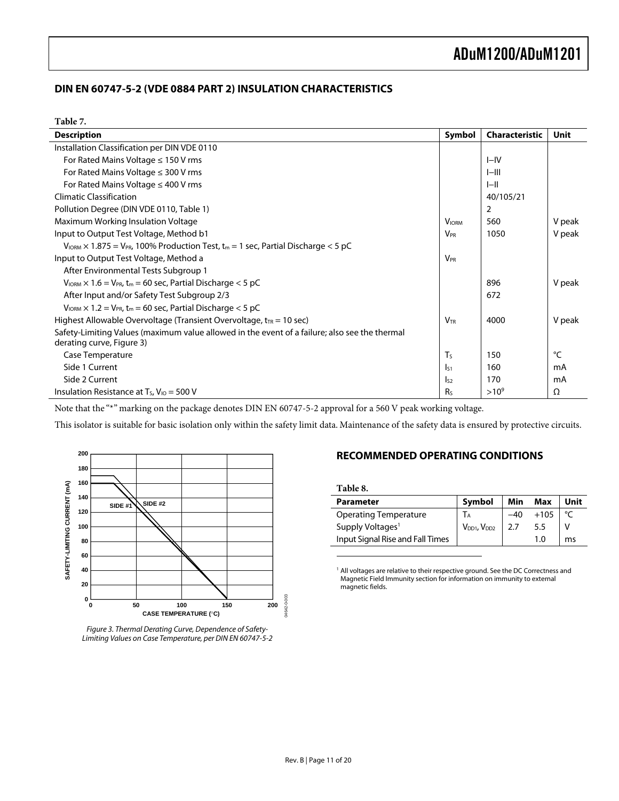#### <span id="page-10-2"></span><span id="page-10-0"></span>**DIN EN 60747-5-2 (VDE 0884 PART 2) INSULATION CHARACTERISTICS**

| <b>Description</b>                                                                                                      | Symbol                | <b>Characteristic</b> | <b>Unit</b> |
|-------------------------------------------------------------------------------------------------------------------------|-----------------------|-----------------------|-------------|
| Installation Classification per DIN VDE 0110                                                                            |                       |                       |             |
| For Rated Mains Voltage $\leq$ 150 V rms                                                                                |                       | $I-IV$                |             |
| For Rated Mains Voltage $\leq$ 300 V rms                                                                                |                       | $I$ -III              |             |
| For Rated Mains Voltage $\leq 400$ V rms                                                                                |                       | $I$ -II               |             |
| <b>Climatic Classification</b>                                                                                          |                       | 40/105/21             |             |
| Pollution Degree (DIN VDE 0110, Table 1)                                                                                |                       | $\overline{2}$        |             |
| Maximum Working Insulation Voltage                                                                                      | <b>VIORM</b>          | 560                   | V peak      |
| Input to Output Test Voltage, Method b1                                                                                 | <b>V<sub>PR</sub></b> | 1050                  | V peak      |
| $V_{\text{IORM}} \times 1.875 = V_{\text{PR}}$ , 100% Production Test, t <sub>m</sub> = 1 sec, Partial Discharge < 5 pC |                       |                       |             |
| Input to Output Test Voltage, Method a                                                                                  | <b>V<sub>PR</sub></b> |                       |             |
| After Environmental Tests Subgroup 1                                                                                    |                       |                       |             |
| $V_{\text{IORM}} \times 1.6 = V_{\text{PR}}$ , t <sub>m</sub> = 60 sec, Partial Discharge < 5 pC                        |                       | 896                   | V peak      |
| After Input and/or Safety Test Subgroup 2/3                                                                             |                       | 672                   |             |
| $V_{\text{IORM}} \times 1.2 = V_{\text{PR}}$ , t <sub>m</sub> = 60 sec, Partial Discharge < 5 pC                        |                       |                       |             |
| Highest Allowable Overvoltage (Transient Overvoltage, $t_{TR} = 10$ sec)                                                | <b>VTR</b>            | 4000                  | V peak      |
| Safety-Limiting Values (maximum value allowed in the event of a failure; also see the thermal                           |                       |                       |             |
| derating curve, Figure 3)                                                                                               |                       |                       |             |
| Case Temperature                                                                                                        | T <sub>S</sub>        | 150                   | °C          |
| Side 1 Current                                                                                                          | $\mathsf{I}_{51}$     | 160                   | mA          |
| Side 2 Current                                                                                                          | $I_{52}$              | 170                   | mA          |
| Insulation Resistance at $T_s$ , $V_{10} = 500$ V                                                                       | R <sub>S</sub>        | $>10^{9}$             | Ω           |

Note that the "\*" marking on the package denotes DIN EN 60747-5-2 approval for a 560 V peak working voltage.

This isolator is suitable for basic isolation only within the safety limit data. Maintenance of the safety data is ensured by protective circuits.

<span id="page-10-1"></span>



#### **RECOMMENDED OPERATING CONDITIONS**

<span id="page-10-3"></span>**Table 8.** 

 $\overline{a}$ 

| <b>Parameter</b>                 | Symbol                              | Min | Max    | Unit |
|----------------------------------|-------------------------------------|-----|--------|------|
| <b>Operating Temperature</b>     | IА                                  |     | $+105$ |      |
| Supply Voltages <sup>1</sup>     | V <sub>DD1</sub> , V <sub>DD2</sub> | 2.7 | 5.5    |      |
| Input Signal Rise and Fall Times |                                     |     | 1.0    | m٢   |

<sup>1</sup> All voltages are relative to their respective ground. See the DC Correctness and [Magnetic Field Immunity section fo](#page-14-1)r information on immunity to external magnetic fields.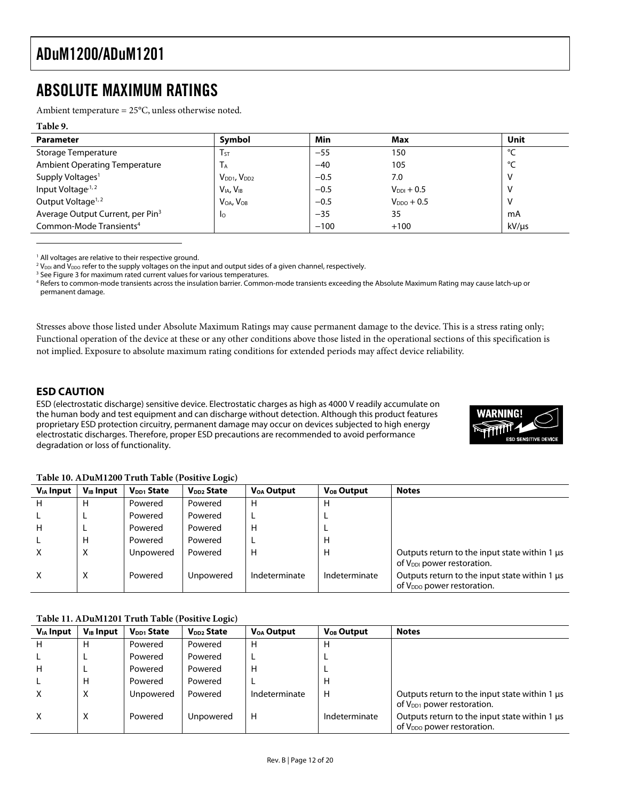### <span id="page-11-0"></span>ABSOLUTE MAXIMUM RATINGS

Ambient temperature = 25°C, unless otherwise noted.

#### <span id="page-11-1"></span>**Table 9. Parameter Symbol Min Max Unit**  Storage Temperature TST − T<sub>ST</sub> T<sub>ST</sub>  $-55$  150  $\degree$ C Ambient Operating Temperature T<sub>A</sub> T<sub>A</sub> −40 105 <sup>o</sup>C Supply Voltages<sup>[1](#page-11-3)</sup> Voltages<sup>1</sup> Voltages<sup>1</sup> Voltages<sup>1</sup> Voltages<sup>1</sup> Voltages<sup>1</sup> Voltages<sup>1</sup> Voltages<sup>1</sup> Voltages<sup>1</sup> Voltages<sup>1</sup> Voltages<sup>1</sup> Voltages<sup>1</sup> Voltages<sup>1</sup> Voltages<sup>1</sup> Voltages<sup>1</sup> Voltages<sup>1</sup> Voltages<sup>1</sup> Voltages<sup>1</sup> Input Voltage<sup>,1,[2](#page-11-4)</sup>  $\vert$  V<sub>IA</sub>, V<sub>IB</sub>  $\vert$  −0.5 V<sub>DDI</sub> + 0.5  $\vert$  V Output Voltage<sup>1, [2](#page-11-2)</sup>  $\vert$  V<sub>OA</sub>, V<sub>OB</sub>  $\vert$   $-0.5$  V<sub>DDO</sub> + 0.5  $\vert$  V Average Output Current, per Pin<sup>[3](#page-11-5)</sup> Io IIO −35 35 MA Common-Mode Transients<sup>4</sup> −100 +100 +100 kV/µs

<span id="page-11-3"></span> $^1$  All voltages are relative to their respective ground.<br><sup>2</sup> Vestand Vess refer to the supply voltages on the inr

<span id="page-11-4"></span> $2$  V<sub>DDI</sub> and V<sub>DDO</sub> refer to the supply voltages on the input and output sides of a given channel, respectively.

<span id="page-11-5"></span><sup>3</sup> See [Figure 3 f](#page-10-2)or maximum rated current values for various temperatures.

4 Refers to common-mode transients across the insulation barrier. Common-mode transients exceeding the Absolute Maximum Rating may cause latch-up or permanent damage.

Stresses above those listed under Absolute Maximum Ratings may cause permanent damage to the device. This is a stress rating only; Functional operation of the device at these or any other conditions above those listed in the operational sections of this specification is not implied. Exposure to absolute maximum rating conditions for extended periods may affect device reliability.

#### **ESD CAUTION**

<span id="page-11-2"></span> $\overline{a}$ 

ESD (electrostatic discharge) sensitive device. Electrostatic charges as high as 4000 V readily accumulate on the human body and test equipment and can discharge without detection. Although this product features proprietary ESD protection circuitry, permanent damage may occur on devices subjected to high energy electrostatic discharges. Therefore, proper ESD precautions are recommended to avoid performance degradation or loss of functionality.



| Table 10. ADuM1200 Truth Table (Positive Logic) |  |  |
|-------------------------------------------------|--|--|
|-------------------------------------------------|--|--|

| $V_{IA}$ Input | <b>V<sub>IB</sub></b> Input | V <sub>DD1</sub> State | V <sub>DD2</sub> State | <b>V<sub>OA</sub></b> Output | <b>V<sub>OB</sub></b> Output | <b>Notes</b>                                                                            |
|----------------|-----------------------------|------------------------|------------------------|------------------------------|------------------------------|-----------------------------------------------------------------------------------------|
| H              | Н                           | Powered                | Powered                | н                            | н                            |                                                                                         |
|                | ┗                           | Powered                | Powered                |                              |                              |                                                                                         |
| н              |                             | Powered                | Powered                | н                            |                              |                                                                                         |
|                | Н                           | Powered                | Powered                |                              | н                            |                                                                                         |
| x              | х                           | Unpowered              | Powered                | н                            | н                            | Outputs return to the input state within 1 us<br>of V <sub>DDI</sub> power restoration. |
| X              | X                           | Powered                | Unpowered              | Indeterminate                | Indeterminate                | Outputs return to the input state within 1 us<br>of V <sub>DDQ</sub> power restoration. |

#### **Table 11. ADuM1201 Truth Table (Positive Logic)**

| $V_{IA}$ Input | $V_{IB}$ Input | V <sub>DD1</sub> State | V <sub>DD2</sub> State | V <sub>OA</sub> Output | V <sub>OB</sub> Output | <b>Notes</b>                                                                            |
|----------------|----------------|------------------------|------------------------|------------------------|------------------------|-----------------------------------------------------------------------------------------|
| н              | H              | Powered                | Powered                | н                      | н                      |                                                                                         |
|                | ►              | Powered                | Powered                |                        |                        |                                                                                         |
| н              | ╺              | Powered                | Powered                | н                      |                        |                                                                                         |
|                | н              | Powered                | Powered                |                        | н                      |                                                                                         |
| х              | X              | Unpowered              | Powered                | Indeterminate          | н                      | Outputs return to the input state within 1 us<br>of V <sub>DD1</sub> power restoration. |
| x              | Χ              | Powered                | Unpowered              | н                      | Indeterminate          | Outputs return to the input state within 1 us<br>of $V_{DDO}$ power restoration.        |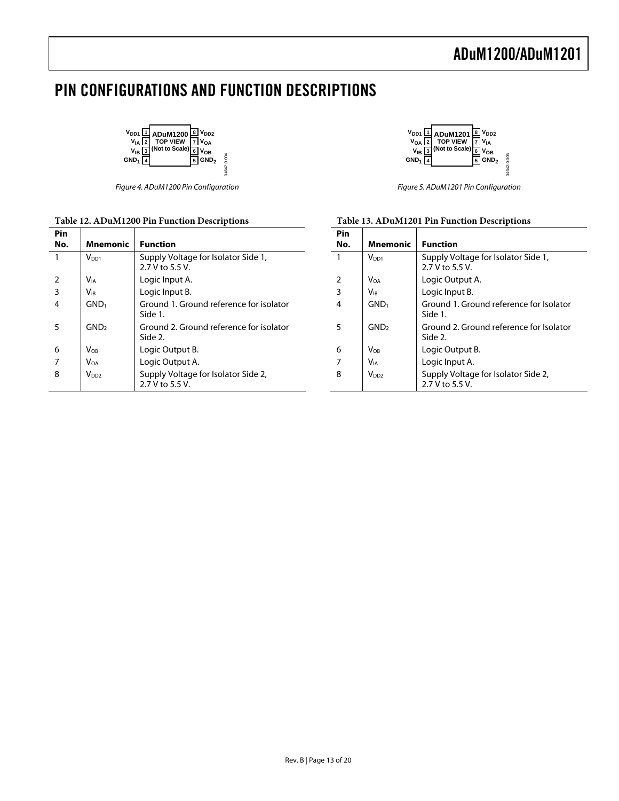### <span id="page-12-0"></span>PIN CONFIGURATIONS AND FUNCTION DESCRIPTIONS

04642-0-004

04642-0-004

| $V_{DD1}$ $\frac{11}{2}$ ADuM1200 $\frac{8}{2}$ $V_{DD2}$<br>$V_{IA}$ $\frac{12}{2}$ TOP VIEW $\frac{1}{7}$ $V_{OA}$<br>(Not to Scale)<br>VOB<br>$V_{IB}$<br>GND <sub>2</sub><br>GND <sub>1</sub> |
|---------------------------------------------------------------------------------------------------------------------------------------------------------------------------------------------------|
|---------------------------------------------------------------------------------------------------------------------------------------------------------------------------------------------------|

Figure 4. ADuM1200 Pin Configuration

#### **Table 12. ADuM1200 Pin Function Descriptions**

| $V_{DD1}$ $\boxed{1}$ ADuM1201 $\boxed{8}$ $V_{DD2}$<br>TOP VIEW 7<br>(Not to Scale)<br>$V_{OA}$ <sup>2</sup><br>V <sub>IA</sub><br>$V_{IB}$ $\sqrt{3}$<br>√ов<br>GND <sub>2</sub><br>GND <sub>1</sub> | 4642- |
|--------------------------------------------------------------------------------------------------------------------------------------------------------------------------------------------------------|-------|
|--------------------------------------------------------------------------------------------------------------------------------------------------------------------------------------------------------|-------|

Figure 5. ADuM1201 Pin Configuration

| Pin<br>No. | Mnemonic               | <b>Function</b>                                        |
|------------|------------------------|--------------------------------------------------------|
|            | V <sub>DD1</sub>       | Supply Voltage for Isolator Side 1,<br>2.7 V to 5.5 V. |
| 2          | <b>V</b> <sub>OA</sub> | Logic Output A.                                        |
| 3          | Vib                    | Logic Input B.                                         |
| 4          | GND <sub>1</sub>       | Ground 1. Ground reference for Isolator<br>Side 1.     |
| 5          | GND <sub>2</sub>       | Ground 2. Ground reference for Isolator<br>Side 2.     |
| 6          | <b>VOR</b>             | Logic Output B.                                        |
|            | Via                    | Logic Input A.                                         |
| 8          | V <sub>DD2</sub>       | Supply Voltage for Isolator Side 2,<br>2.7 V to 5.5 V. |

#### **Table 13. ADuM1201 Pin Function Descriptions**

| Pin |                        |                                                        |
|-----|------------------------|--------------------------------------------------------|
| No. | <b>Mnemonic</b>        | <b>Function</b>                                        |
|     | $V_{DD1}$              | Supply Voltage for Isolator Side 1,<br>2.7 V to 5.5 V. |
| 2   | <b>V</b> ia            | Logic Input A.                                         |
| 3   | <b>V</b> <sub>IR</sub> | Logic Input B.                                         |
|     | GND <sub>1</sub>       | Ground 1. Ground reference for isolator<br>Side 1.     |
|     | GND <sub>2</sub>       | Ground 2. Ground reference for isolator<br>Side 2.     |
| 6   | VOR                    | Logic Output B.                                        |
|     | Voa                    | Logic Output A.                                        |
| 8   | V <sub>DD2</sub>       | Supply Voltage for Isolator Side 2,                    |

2.7 V to 5.5 V.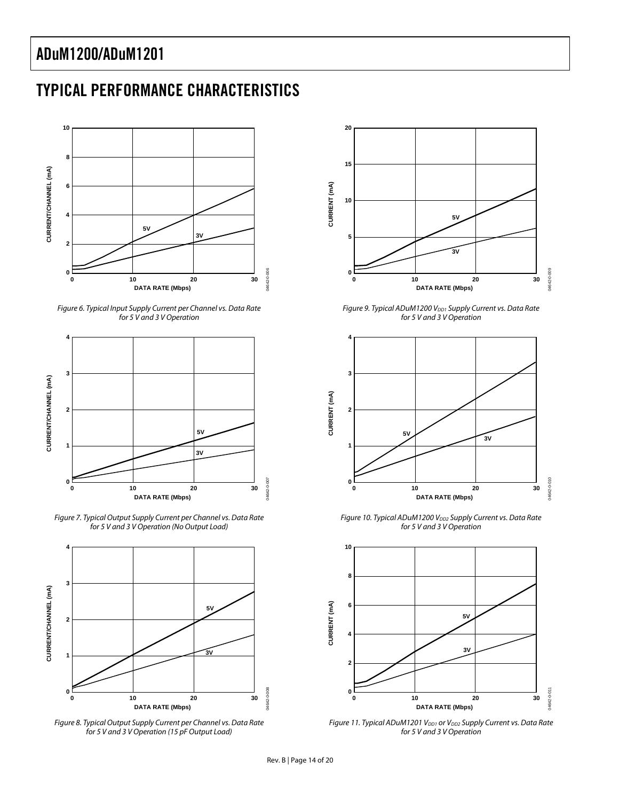### <span id="page-13-1"></span><span id="page-13-0"></span>TYPICAL PERFORMANCE CHARACTERISTICS



<span id="page-13-2"></span>Figure 6. Typical Input Supply Current per Channel vs. Data Rate for 5 V and 3 V Operation



<span id="page-13-3"></span>Figure 7. Typical Output Supply Current per Channel vs. Data Rate for 5 V and 3 V Operation (No Output Load)



<span id="page-13-4"></span>Figure 8. Typical Output Supply Current per Channel vs. Data Rate for 5 V and 3 V Operation (15 pF Output Load)



<span id="page-13-5"></span>Figure 9. Typical ADuM1200 V<sub>DD1</sub> Supply Current vs. Data Rate for 5 V and 3 V Operation



Figure 10. Typical ADuM1200 V<sub>DD2</sub> Supply Current vs. Data Rate for 5 V and 3 V Operation



<span id="page-13-6"></span>Figure 11. Typical ADuM1201 V<sub>DD1</sub> or V<sub>DD2</sub> Supply Current vs. Data Rate for 5 V and 3 V Operation

04642-0-008

**MAG42-0-008**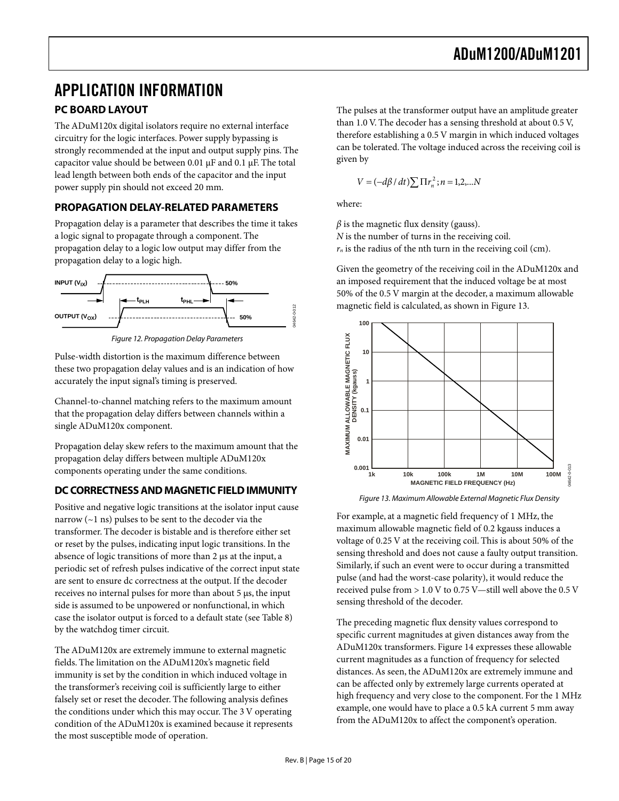### <span id="page-14-1"></span><span id="page-14-0"></span>APPLICATION INFORMATION

### **PC BOARD LAYOUT**

The ADuM120x digital isolators require no external interface circuitry for the logic interfaces. Power supply bypassing is strongly recommended at the input and output supply pins. The capacitor value should be between 0.01  $\mu$ F and 0.1  $\mu$ F. The total lead length between both ends of the capacitor and the input power supply pin should not exceed 20 mm.

#### **PROPAGATION DELAY-RELATED PARAMETERS**

Propagation delay is a parameter that describes the time it takes a logic signal to propagate through a component. The propagation delay to a logic low output may differ from the propagation delay to a logic high.



Figure 12. Propagation Delay Parameters

Pulse-width distortion is the maximum difference between these two propagation delay values and is an indication of how accurately the input signal's timing is preserved.

Channel-to-channel matching refers to the maximum amount that the propagation delay differs between channels within a single ADuM120x component.

Propagation delay skew refers to the maximum amount that the propagation delay differs between multiple ADuM120x components operating under the same conditions.

#### **DC CORRECTNESS AND MAGNETIC FIELD IMMUNITY**

Positive and negative logic transitions at the isolator input cause narrow (~1 ns) pulses to be sent to the decoder via the transformer. The decoder is bistable and is therefore either set or reset by the pulses, indicating input logic transitions. In the absence of logic transitions of more than 2 µs at the input, a periodic set of refresh pulses indicative of the correct input state are sent to ensure dc correctness at the output. If the decoder receives no internal pulses for more than about 5 µs, the input side is assumed to be unpowered or nonfunctional, in which case the isolator output is forced to a default state (see [Table 8\)](#page-10-3) by the watchdog timer circuit.

The ADuM120x are extremely immune to external magnetic fields. The limitation on the ADuM120x's magnetic field immunity is set by the condition in which induced voltage in the transformer's receiving coil is sufficiently large to either falsely set or reset the decoder. The following analysis defines the conditions under which this may occur. The 3 V operating condition of the ADuM120x is examined because it represents the most susceptible mode of operation.

The pulses at the transformer output have an amplitude greater than 1.0 V. The decoder has a sensing threshold at about 0.5 V, therefore establishing a 0.5 V margin in which induced voltages can be tolerated. The voltage induced across the receiving coil is given by

$$
V = (-d\beta / dt) \sum \Pi r_n^2; n = 1, 2, ... N
$$

where:

 $\beta$  is the magnetic flux density (gauss). *N* is the number of turns in the receiving coil.  $r_n$  is the radius of the nth turn in the receiving coil (cm).

Given the geometry of the receiving coil in the ADuM120x and an imposed requirement that the induced voltage be at most 50% of the 0.5 V margin at the decoder, a maximum allowable magnetic field is calculated, as shown in [Figure](#page-14-2) 13.

<span id="page-14-2"></span>

Figure 13. Maximum Allowable External Magnetic Flux Density

For example, at a magnetic field frequency of 1 MHz, the maximum allowable magnetic field of 0.2 kgauss induces a voltage of 0.25 V at the receiving coil. This is about 50% of the sensing threshold and does not cause a faulty output transition. Similarly, if such an event were to occur during a transmitted pulse (and had the worst-case polarity), it would reduce the received pulse from > 1.0 V to 0.75 V—still well above the 0.5 V sensing threshold of the decoder.

The preceding magnetic flux density values correspond to specific current magnitudes at given distances away from the ADuM120x transformers. [Figure 14 e](#page-15-2)xpresses these allowable current magnitudes as a function of frequency for selected distances.As seen, the ADuM120x are extremely immune and can be affected only by extremely large currents operated at high frequency and very close to the component. For the 1 MHz example, one would have to place a 0.5 kA current 5 mm away from the ADuM120x to affect the component's operation.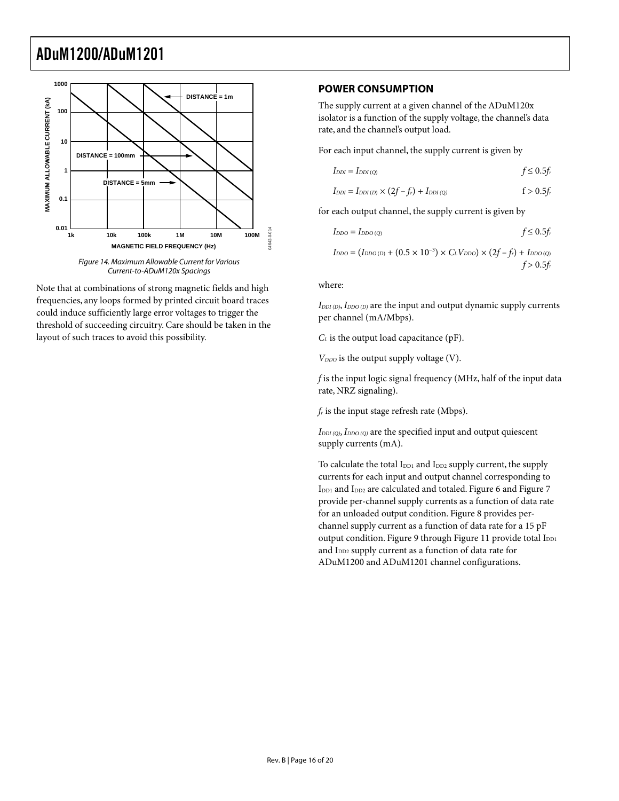<span id="page-15-2"></span><span id="page-15-1"></span><span id="page-15-0"></span>

Current-to-ADuM120x Spacings

Note that at combinations of strong magnetic fields and high frequencies, any loops formed by printed circuit board traces could induce sufficiently large error voltages to trigger the threshold of succeeding circuitry. Care should be taken in the layout of such traces to avoid this possibility.

#### **POWER CONSUMPTION**

The supply current at a given channel of the ADuM120x isolator is a function of the supply voltage, the channel's data rate, and the channel's output load.

For each input channel, the supply current is given by

$$
I_{\rm DDI} = I_{\rm DDI(Q)} \qquad \qquad f \leq 0.5 f_r
$$

$$
I_{DDI} = I_{DDI(D)} \times (2f - f_r) + I_{DDI(Q)} \qquad f > 0.5f_r
$$

for each output channel, the supply current is given by

$$
I_{\text{DDO}} = I_{\text{DDO (Q)}} \qquad f \leq 0.5 f_r
$$

 $I_{DDO} = (I_{DDO(D)} + (0.5 \times 10^{-3}) \times C_L V_{DDO}) \times (2f - f_r) + I_{DDO(Q)}$  $f > 0.5f_r$ 

where:

*IDDI (D)*, *IDDO (D)* are the input and output dynamic supply currents per channel (mA/Mbps).

*C<sub>L</sub>* is the output load capacitance (pF).

 $V_{DDO}$  is the output supply voltage (V).

*f* is the input logic signal frequency (MHz, half of the input data rate, NRZ signaling).

*fr* is the input stage refresh rate (Mbps).

*IDDI (Q)*, *IDDO (Q)* are the specified input and output quiescent supply currents (mA).

To calculate the total I<sub>DD1</sub> and I<sub>DD2</sub> supply current, the supply currents for each input and output channel corresponding to I<sub>DD1</sub> and I<sub>DD2</sub> are calculated and totaled. [Figure 6](#page-13-2) and Figure 7 provide per-channel supply currents as a function of data rate for an unloaded output condition. [Figure 8 p](#page-13-4)rovides perchannel supply current as a function of data rate for a 15 pF output condition. [Figure 9](#page-13-5) through [Figure 11 p](#page-13-6)rovide total I<sub>DD1</sub> and I<sub>DD2</sub> supply current as a function of data rate for ADuM1200 and ADuM1201 channel configurations.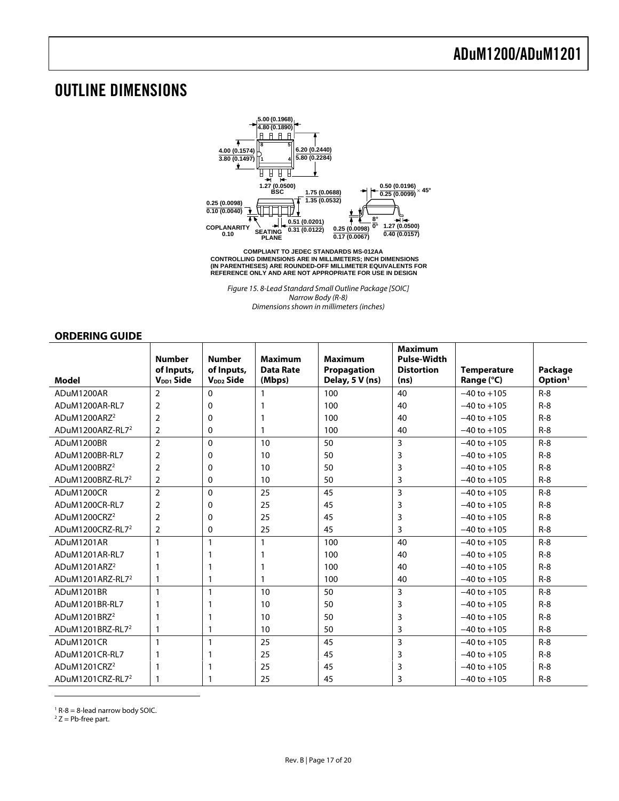### <span id="page-16-1"></span>OUTLINE DIMENSIONS



**CONTROLLING DIMENSIONS ARE IN MILLIMETERS; INCH DIMENSIONS (IN PARENTHESES) ARE ROUNDED-OFF MILLIMETER EQUIVALENTS FOR REFERENCE ONLY AND ARE NOT APPROPRIATE FOR USE IN DESIGN COMPLIANT TO JEDEC STANDARDS MS-012AA**

Figure 15. 8-Lead Standard Small Outline Package [SOIC] Narrow Body (R-8) Dimensions shown in millimeters (inches)

#### <span id="page-16-0"></span>**ORDERING GUIDE**

<span id="page-16-2"></span>

|                              | <b>Number</b>         | <b>Number</b>         | <b>Maximum</b>   | <b>Maximum</b>  | <b>Maximum</b><br><b>Pulse-Width</b> |                    |                     |
|------------------------------|-----------------------|-----------------------|------------------|-----------------|--------------------------------------|--------------------|---------------------|
|                              | of Inputs.            | of Inputs,            | <b>Data Rate</b> | Propagation     | <b>Distortion</b>                    | <b>Temperature</b> | Package             |
| Model                        | V <sub>DD1</sub> Side | V <sub>DD2</sub> Side | (Mbps)           | Delay, 5 V (ns) | (ns)                                 | Range (°C)         | Option <sup>1</sup> |
| ADuM1200AR                   | $\overline{2}$        | $\Omega$              |                  | 100             | 40                                   | $-40$ to $+105$    | $R - 8$             |
| ADuM1200AR-RL7               | 2                     | 0                     |                  | 100             | 40                                   | $-40$ to $+105$    | $R - 8$             |
| ADuM1200ARZ <sup>2</sup>     | $\overline{2}$        | 0                     |                  | 100             | 40                                   | $-40$ to $+105$    | $R-8$               |
| ADuM1200ARZ-RL7 <sup>2</sup> | 2                     | 0                     |                  | 100             | 40                                   | $-40$ to $+105$    | $R - 8$             |
| ADuM1200BR                   | $\overline{2}$        | $\Omega$              | 10               | 50              | 3                                    | $-40$ to $+105$    | $R - 8$             |
| ADuM1200BR-RL7               | $\overline{2}$        | 0                     | 10               | 50              | 3                                    | $-40$ to $+105$    | $R - 8$             |
| ADuM1200BRZ <sup>2</sup>     | 2                     | 0                     | 10               | 50              | 3                                    | $-40$ to $+105$    | $R - 8$             |
| ADuM1200BRZ-RL7 <sup>2</sup> | $\overline{2}$        | 0                     | 10               | 50              | 3                                    | $-40$ to $+105$    | $R-8$               |
| ADuM1200CR                   | $\overline{2}$        | 0                     | 25               | 45              | 3                                    | $-40$ to $+105$    | $R-8$               |
| ADuM1200CR-RL7               | $\overline{2}$        | 0                     | 25               | 45              | 3                                    | $-40$ to $+105$    | $R-8$               |
| ADuM1200CRZ <sup>2</sup>     | 2                     | 0                     | 25               | 45              | 3                                    | $-40$ to $+105$    | $R-8$               |
| ADuM1200CRZ-RL7 <sup>2</sup> | 2                     | 0                     | 25               | 45              | 3                                    | $-40$ to $+105$    | $R-8$               |
| ADuM1201AR                   | $\mathbf{1}$          | $\mathbf{1}$          | 1                | 100             | 40                                   | $-40$ to $+105$    | $R - 8$             |
| ADuM1201AR-RL7               |                       | 1                     |                  | 100             | 40                                   | $-40$ to $+105$    | $R - 8$             |
| ADuM1201ARZ <sup>2</sup>     |                       |                       |                  | 100             | 40                                   | $-40$ to $+105$    | $R - 8$             |
| ADuM1201ARZ-RL7 <sup>2</sup> | 1                     | 1                     |                  | 100             | 40                                   | $-40$ to $+105$    | $R-8$               |
| ADuM1201BR                   | $\mathbf{1}$          | 1                     | 10               | 50              | 3                                    | $-40$ to $+105$    | $R - 8$             |
| ADuM1201BR-RL7               |                       |                       | 10               | 50              | 3                                    | $-40$ to $+105$    | $R-8$               |
| ADuM1201BRZ <sup>2</sup>     |                       |                       | 10               | 50              | 3                                    | $-40$ to $+105$    | $R - 8$             |
| ADuM1201BRZ-RL7 <sup>2</sup> | 1                     | 1                     | 10               | 50              | 3                                    | $-40$ to $+105$    | $R-8$               |
| ADuM1201CR                   | $\mathbf{1}$          | 1                     | 25               | 45              | 3                                    | $-40$ to $+105$    | $R-8$               |
| ADuM1201CR-RL7               |                       |                       | 25               | 45              | 3                                    | $-40$ to $+105$    | $R - 8$             |
| ADuM1201CRZ <sup>2</sup>     | 1                     | 1                     | 25               | 45              | 3                                    | $-40$ to $+105$    | $R-8$               |
| ADuM1201CRZ-RL7 <sup>2</sup> |                       |                       | 25               | 45              | 3                                    | $-40$ to $+105$    | $R-8$               |

<span id="page-16-3"></span> $1$  R-8 = 8-lead narrow body SOIC.<br> $27 -$  Pb-free part

<span id="page-16-4"></span> $2 Z = Pb$ -free part.

 $\overline{a}$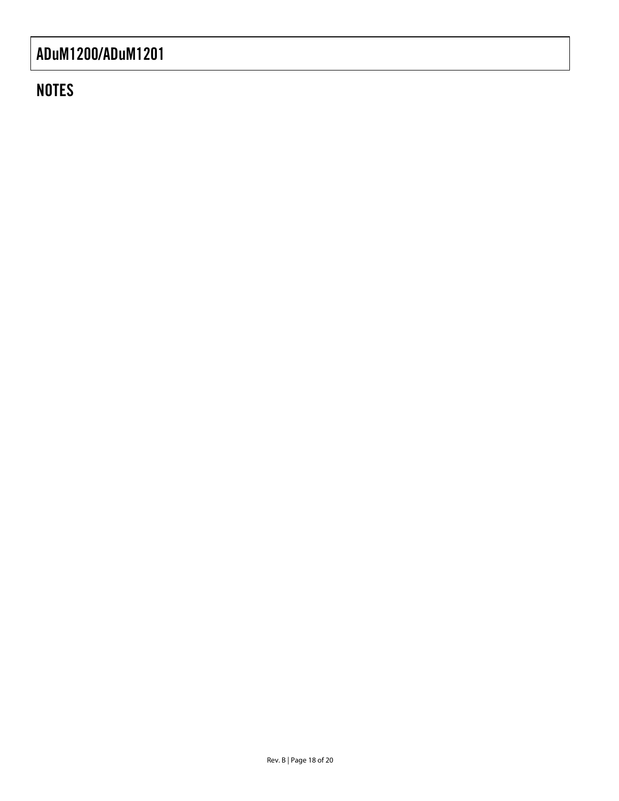### **NOTES**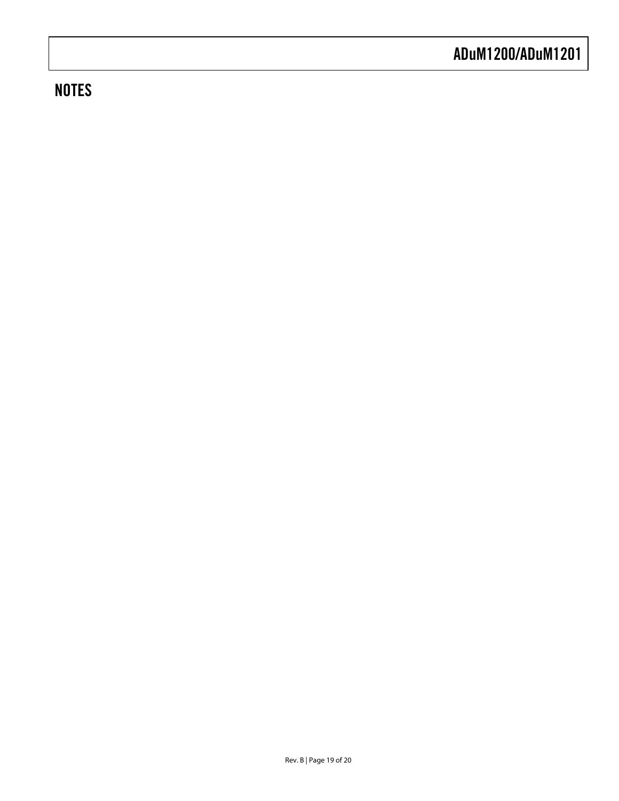### **NOTES**